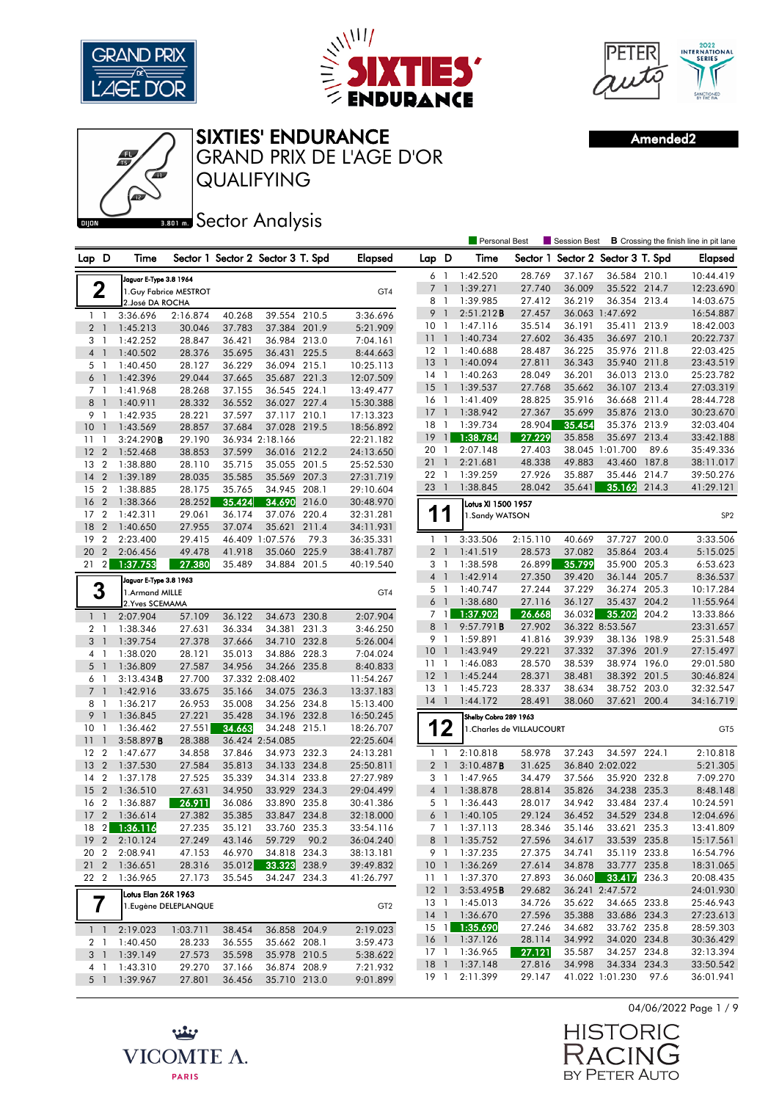





QUALIFYING GRAND PRIX DE L'AGE D'OR Amended2



**Bector Analysis** 

|                                |                                   |          |        |                                   |       |                 |                 |                          | <b>Personal Best</b>  |                           | <b>Session Best</b>      |                 |       | <b>B</b> Crossing the finish line in pit lane |
|--------------------------------|-----------------------------------|----------|--------|-----------------------------------|-------|-----------------|-----------------|--------------------------|-----------------------|---------------------------|--------------------------|-----------------|-------|-----------------------------------------------|
| Lap D                          | Time                              |          |        | Sector 1 Sector 2 Sector 3 T. Spd |       | <b>Elapsed</b>  | Lap D           |                          | Time                  | Sector 1                  | Sector 2 Sector 3 T. Spd |                 |       | Elapsed                                       |
|                                | Jaguar E-Type 3.8 1964            |          |        |                                   |       |                 | 6               | $\overline{1}$           | 1:42.520              | 28.769                    | 37.167                   | 36.584 210.1    |       | 10:44.419                                     |
| 2                              | 1.Guy Fabrice MESTROT             |          |        |                                   |       | GT4             | $\overline{7}$  | $\mathbf{1}$             | 1:39.271              | 27.740                    | 36.009                   | 35.522 214.7    |       | 12:23.690                                     |
|                                | 2. José DA ROCHA                  |          |        |                                   |       |                 | 8               | $\overline{1}$           | 1:39.985              | 27.412                    | 36.219                   | 36.354 213.4    |       | 14:03.675                                     |
| $1\quad$                       | 3:36.696                          | 2:16.874 | 40.268 | 39.554 210.5                      |       | 3:36.696        | 9               | $\mathbf{1}$             | 2:51.212B             | 27.457                    |                          | 36.063 1:47.692 |       | 16:54.887                                     |
| 2 <sub>1</sub>                 | 1:45.213                          | 30.046   | 37.783 | 37.384 201.9                      |       | 5:21.909        | 10              | $\overline{1}$           | 1:47.116              | 35.514                    | 36.191                   | 35.411 213.9    |       | 18:42.003                                     |
| 3<br>$\mathbf{1}$              | 1:42.252                          | 28.847   | 36.421 | 36.984 213.0                      |       | 7:04.161        | 11              | $\overline{1}$           | 1:40.734              | 27.602                    | 36.435                   | 36.697          | 210.1 | 20:22.737                                     |
| $\overline{4}$<br>$\mathbf{1}$ | 1:40.502                          | 28.376   | 35.695 | 36.431 225.5                      |       | 8:44.663        | 12 <sub>1</sub> |                          | 1:40.688              | 28.487                    | 36.225                   | 35.976 211.8    |       | 22:03.425                                     |
| 5 1                            | 1:40.450                          | 28.127   | 36.229 | 36.094 215.1                      |       | 10:25.113       | 13              | $\mathbf{1}$             | 1:40.094              | 27.811                    | 36.343                   | 35.940 211.8    |       | 23:43.519                                     |
| 6 <sup>1</sup>                 | 1:42.396                          | 29.044   | 37.665 | 35.687                            | 221.3 | 12:07.509       | $14-1$          |                          | 1:40.263              | 28.049                    | 36.201                   | 36.013 213.0    |       | 25:23.782                                     |
| 7 <sub>1</sub>                 | 1:41.968                          | 28.268   | 37.155 | 36.545 224.1                      |       | 13:49.477       | 15              | $\overline{1}$           | 1:39.537              | 27.768                    | 35.662                   | 36.107 213.4    |       | 27:03.319                                     |
| 8<br>$\mathbf{1}$              | 1:40.911                          | 28.332   | 36.552 | 36.027 227.4                      |       | 15:30.388       | $16-1$          |                          | 1:41.409              | 28.825                    | 35.916                   | 36.668 211.4    |       | 28:44.728                                     |
| 9<br>-1                        | 1:42.935                          | 28.221   | 37.597 | 37.117 210.1                      |       | 17:13.323       | 17              | $\overline{1}$           | 1:38.942              | 27.367                    | 35.699                   | 35.876 213.0    |       | 30:23.670                                     |
| 10<br>$\mathbf{1}$             | 1:43.569                          | 28.857   | 37.684 | 37.028 219.5                      |       | 18:56.892       | 18              | $\overline{1}$           | 1:39.734              | 28.904                    | 35.454                   | 35.376 213.9    |       | 32:03.404                                     |
| $\overline{1}$<br>11           | 3:24.290B                         | 29.190   |        | 36.934 2:18.166                   |       | 22:21.182       | 19              | $\mathbf{1}$             | 1:38.784              | 27.229                    | 35.858                   | 35.697 213.4    |       | 33:42.188                                     |
| 12<br>$\overline{2}$           | 1:52.468                          | 38.853   | 37.599 | 36.016 212.2                      |       | 24:13.650       | 20              | -1                       | 2:07.148              | 27.403                    |                          | 38.045 1:01.700 | 89.6  | 35:49.336                                     |
| $\overline{2}$<br>13           | 1:38.880                          | 28.110   | 35.715 | 35.055                            | 201.5 | 25:52.530       | 21              | $\overline{1}$           | 2:21.681              | 48.338                    | 49.883                   | 43.460          | 187.8 | 38:11.017                                     |
| 14<br>$\overline{2}$           | 1:39.189                          | 28.035   | 35.585 | 35.569 207.3                      |       | 27:31.719       | $22 \quad 1$    |                          | 1:39.259              | 27.926                    | 35.887                   | 35.446 214.7    |       | 39:50.276                                     |
| 15<br>$\overline{2}$           | 1:38.885                          | 28.175   | 35.765 | 34.945                            | 208.1 | 29:10.604       | 23              | $\overline{\phantom{a}}$ | 1:38.845              | 28.042                    | 35.641                   | 35.162          | 214.3 | 41:29.121                                     |
| 16<br>$\overline{2}$           | 1:38.366                          | 28.252   | 35.424 | 34.690                            | 216.0 | 30:48.970       |                 |                          | Lotus XI 1500 1957    |                           |                          |                 |       |                                               |
| 17<br>$\overline{2}$           | 1:42.311                          | 29.061   | 36.174 | 37.076 220.4                      |       | 32:31.281       | 1               | 1                        | 1.Sandy WATSON        |                           |                          |                 |       | SP <sub>2</sub>                               |
| 18<br>$\overline{2}$           | 1:40.650                          | 27.955   | 37.074 | 35.621                            | 211.4 | 34:11.931       |                 |                          |                       |                           |                          |                 |       |                                               |
| 19<br>$\overline{2}$           | 2:23.400                          | 29.415   |        | 46.409 1:07.576                   | 79.3  | 36:35.331       | $1\quad$        |                          | 3:33.506              | 2:15.110                  | 40.669                   | 37.727 200.0    |       | 3:33.506                                      |
| 20<br>$\overline{2}$           | 2:06.456                          | 49.478   | 41.918 | 35.060                            | 225.9 | 38:41.787       | $\overline{2}$  | $\mathbf{1}$             | 1:41.519              | 28.573                    | 37.082                   | 35.864          | 203.4 | 5:15.025                                      |
| $\overline{2}$<br>21           | 1:37.753                          | 27.380   | 35.489 | 34.884 201.5                      |       | 40:19.540       | 3               | -1                       | 1:38.598              | 26.899                    | 35.799                   | 35.900 205.3    |       | 6:53.623                                      |
|                                | Jaguar E-Type 3.8 1963            |          |        |                                   |       |                 | 4 <sup>1</sup>  |                          | 1:42.914              | 27.350                    | 39.420                   | 36.144 205.7    |       | 8:36.537                                      |
| 3                              |                                   |          |        |                                   |       |                 | 5               | $\overline{1}$           | 1:40.747              | 27.244                    | 37.229                   | 36.274          | 205.3 | 10:17.284                                     |
|                                | 1.Armand MILLE<br>2. Yves SCEMAMA |          |        |                                   |       | GT4             | 6 <sup>1</sup>  |                          | 1:38.680              | 27.116                    | 36.127                   | 35.437          | 204.2 | 11:55.964                                     |
| $1\quad$                       | 2:07.904                          | 57.109   | 36.122 | 34.673 230.8                      |       | 2:07.904        | 7               | $\mathbf{1}$             | 1:37.902              | 26.668                    | 36.032                   | 35.202          | 204.2 | 13:33.866                                     |
| 2 <sub>1</sub>                 | 1:38.346                          | 27.631   | 36.334 | 34.381                            | 231.3 | 3:46.250        | 8               | $\overline{1}$           | 9:57.791B             | 27.902                    |                          | 36.322 8:53.567 |       | 23:31.657                                     |
| 3 <sup>1</sup>                 | 1:39.754                          | 27.378   | 37.666 | 34.710 232.8                      |       | 5:26.004        | 9 1             |                          | 1:59.891              | 41.816                    | 39.939                   | 38.136 198.9    |       | 25:31.548                                     |
| 4 1                            | 1:38.020                          | 28.121   | 35.013 | 34.886 228.3                      |       | 7:04.024        | 10              | $\overline{1}$           | 1:43.949              | 29.221                    | 37.332                   | 37.396 201.9    |       | 27:15.497                                     |
| 5<br>$\overline{1}$            | 1:36.809                          | 27.587   | 34.956 | 34.266 235.8                      |       | 8:40.833        | $11-1$          |                          | 1:46.083              | 28.570                    | 38.539                   | 38.974 196.0    |       | 29:01.580                                     |
| 6<br>- 1                       | 3:13.434B                         | 27.700   |        | 37.332 2:08.402                   |       | 11:54.267       | 12              | $\overline{1}$           | 1:45.244              | 28.371                    | 38.481                   | 38.392          | 201.5 | 30:46.824                                     |
| 7 <sup>1</sup>                 | 1:42.916                          | 33.675   | 35.166 | 34.075                            | 236.3 | 13:37.183       | 13 1            |                          | 1:45.723              | 28.337                    | 38.634                   | 38.752 203.0    |       | 32:32.547                                     |
| 8 1                            | 1:36.217                          | 26.953   | 35.008 | 34.256 234.8                      |       | 15:13.400       | $14-1$          |                          | 1:44.172              | 28.491                    | 38.060                   | 37.621          | 200.4 | 34:16.719                                     |
| 9<br>$\mathbf{1}$              | 1:36.845                          | 27.221   | 35.428 | 34.196                            | 232.8 | 16:50.245       |                 |                          | Shelby Cobra 289 1963 |                           |                          |                 |       |                                               |
| 10 <sup>°</sup><br>-1          | 1:36.462                          | 27.551   | 34.663 | 34.248                            | 215.1 | 18:26.707       |                 | 12                       |                       | 1. Charles de VILLAUCOURT |                          |                 |       | GT5                                           |
| 11<br>$\mathbf{1}$             | 3:58.897B                         | 28.388   |        | 36.424 2:54.085                   |       | 22:25.604       |                 |                          |                       |                           |                          |                 |       |                                               |
| $\overline{2}$<br>$12 \,$      | 1:47.677                          | 34.858   | 37.846 | 34.973                            | 232.3 | 24:13.281       | 1               | $\overline{1}$           | 2:10.818              | 58.978                    | 37.243                   | 34.597 224.1    |       | 2:10.818                                      |
| 13<br>$\overline{2}$           | 1:37.530                          | 27.584   | 35.813 | 34.133 234.8                      |       | 25:50.811       | $\overline{2}$  | $\overline{1}$           | 3:10.487B             | 31.625                    |                          | 36.840 2:02.022 |       | 5:21.305                                      |
| $\overline{2}$<br>14           | 1:37.178                          | 27.525   | 35.339 | 34.314 233.8                      |       | 27:27.989       | $3-1$           |                          | 1:47.965              | 34.479                    | 37.566                   | 35.920 232.8    |       | 7:09.270                                      |
| 15<br>$\overline{2}$           | 1:36.510                          | 27.631   | 34.950 | 33.929 234.3                      |       | 29:04.499       | 4 <sup>1</sup>  |                          | 1:38.878              | 28.814                    | 35.826                   | 34.238          | 235.3 | 8:48.148                                      |
| $\overline{2}$<br>16           | 1:36.887                          | 26.911   | 36.086 | 33.890                            | 235.8 | 30:41.386       | 5               | - 1                      | 1:36.443              | 28.017                    | 34.942                   | 33.484          | 237.4 | 10:24.591                                     |
| 17 <sub>2</sub>                | 1:36.614                          | 27.382   | 35.385 | 33.847 234.8                      |       | 32:18.000       | 6               | $\overline{1}$           | 1:40.105              | 29.124                    | 36.452                   | 34.529 234.8    |       | 12:04.696                                     |
| 18<br>$\mathbf{2}$             | 1:36.116                          | 27.235   | 35.121 | 33.760 235.3                      |       | 33:54.116       | 7 1             |                          | 1:37.113              | 28.346                    | 35.146                   | 33.621 235.3    |       | 13:41.809                                     |
| 19 <sub>2</sub>                | 2:10.124                          | 27.249   | 43.146 | 59.729                            | 90.2  | 36:04.240       | 8 1             |                          | 1:35.752              | 27.596                    | 34.617                   | 33.539 235.8    |       | 15:17.561                                     |
| 20 2                           | 2:08.941                          | 47.153   | 46.970 | 34.818 234.3                      |       | 38:13.181       | 9 1             |                          | 1:37.235              | 27.375                    | 34.741                   | 35.119 233.8    |       | 16:54.796                                     |
| 212                            | 1:36.651                          | 28.316   | 35.012 | 33.323 238.9                      |       | 39:49.832       | 10 <sub>1</sub> |                          | 1:36.269              | 27.614                    | 34.878                   | 33.777 235.8    |       | 18:31.065                                     |
| 22 2                           | 1:36.965                          | 27.173   | 35.545 | 34.247 234.3                      |       | 41:26.797       | $11-1$          |                          | 1:37.370              | 27.893                    | 36.060                   | 33.417 236.3    |       | 20:08.435                                     |
|                                |                                   |          |        |                                   |       |                 | $12 \quad 1$    |                          | 3:53.495B             | 29.682                    |                          | 36.241 2:47.572 |       | 24:01.930                                     |
| $\overline{7}$                 | Lotus Elan 26R 1963               |          |        |                                   |       |                 | 13 1            |                          | 1:45.013              | 34.726                    | 35.622                   | 34.665 233.8    |       | 25:46.943                                     |
|                                | 1. Eugène DELEPLANQUE             |          |        |                                   |       | GT <sub>2</sub> |                 |                          | 14 1 1:36.670         | 27.596                    | 35.388                   | 33.686 234.3    |       | 27:23.613                                     |
|                                |                                   |          |        |                                   |       |                 | $15 \quad 1$    |                          | 1:35.690              | 27.246                    | 34.682                   | 33.762 235.8    |       | 28:59.303                                     |
| $1\quad$                       | 2:19.023                          | 1:03.711 | 38.454 | 36.858 204.9                      |       | 2:19.023        |                 |                          | 16 1 1:37.126         | 28.114                    | 34.992                   | 34.020 234.8    |       | 30:36.429                                     |
| 2 1                            | 1:40.450                          | 28.233   | 36.555 | 35.662 208.1                      |       | 3:59.473        | 17 1            |                          | 1:36.965              | 27.121                    | 35.587                   | 34.257 234.8    |       | 32:13.394                                     |
| 3 1                            | 1:39.149                          | 27.573   | 35.598 | 35.978 210.5                      |       | 5:38.622        | 18 <sup>1</sup> |                          | 1:37.148              | 27.816                    | 34.998                   | 34.334 234.3    |       | 33:50.542                                     |
| 41                             | 1:43.310                          | 29.270   | 37.166 | 36.874 208.9                      |       | 7:21.932        | 19 1            |                          | 2:11.399              | 29.147                    |                          | 41.022 1:01.230 | 97.6  | 36:01.941                                     |
| $5-1$                          | 1:39.967                          | 27.801   | 36.456 | 35.710 213.0                      |       | 9:01.899        |                 |                          |                       |                           |                          |                 |       |                                               |





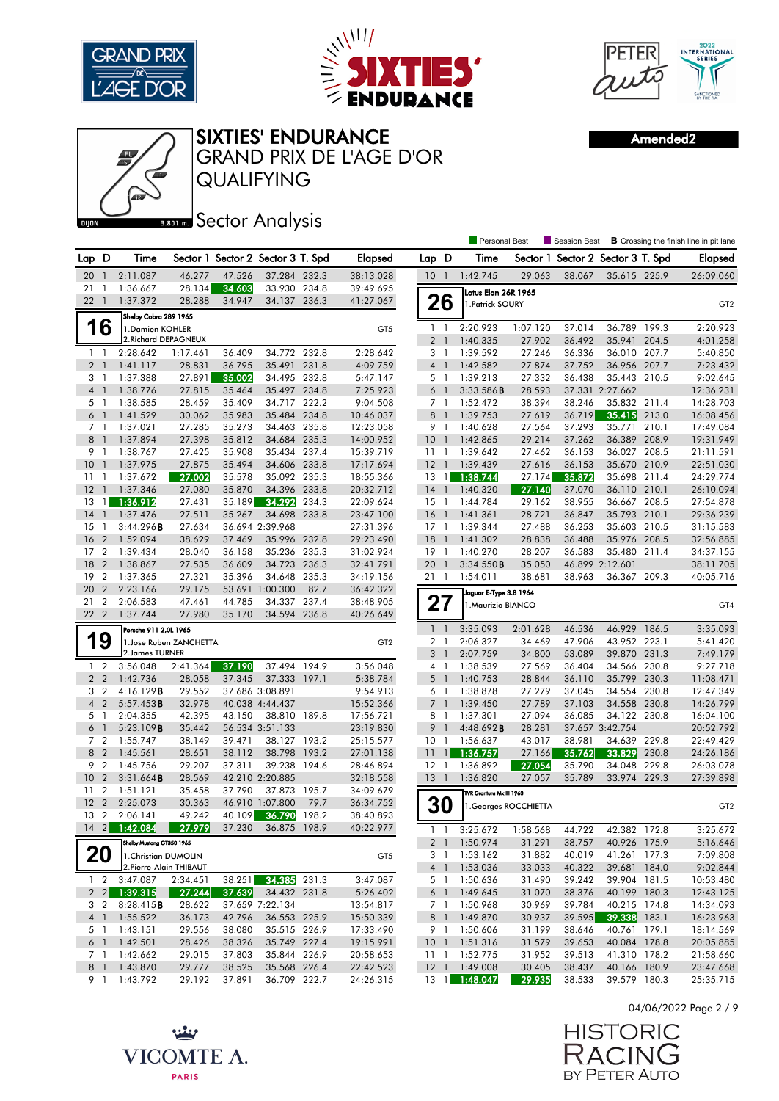





GRAND PRIX DE L'AGE D'OR

Amended2



QUALIFYING

## **Bector Analysis**

|                 |                                  |                           |                        |                                   |                        |                |                        |                 |                          | <b>Personal Best</b>     |                       | Session Best                      |                        |                | <b>B</b> Crossing the finish line in pit lane |
|-----------------|----------------------------------|---------------------------|------------------------|-----------------------------------|------------------------|----------------|------------------------|-----------------|--------------------------|--------------------------|-----------------------|-----------------------------------|------------------------|----------------|-----------------------------------------------|
| Lap D           |                                  | Time                      |                        | Sector 1 Sector 2 Sector 3 T. Spd |                        |                | Elapsed                | Lap D           |                          | Time                     |                       | Sector 1 Sector 2 Sector 3 T. Spd |                        |                | <b>Elapsed</b>                                |
| 20              | $\mathbf{1}$                     | 2:11.087                  | 46.277                 | 47.526                            | 37.284 232.3           |                | 38:13.028              | 10 <sup>°</sup> | $\overline{1}$           | 1:42.745                 | 29.063                | 38.067                            | 35.615 225.9           |                | 26:09.060                                     |
| 21              | -1                               | 1:36.667                  | 28.134                 | 34.603                            | 33.930 234.8           |                | 39:49.695              |                 |                          | Lotus Elan 26R 1965      |                       |                                   |                        |                |                                               |
| 22              | $\overline{1}$                   | 1:37.372                  | 28.288                 | 34.947                            | 34.137 236.3           |                | 41:27.067              |                 | 26                       | 1.Patrick SOURY          |                       |                                   |                        |                | GT <sub>2</sub>                               |
|                 |                                  | Shelby Cobra 289 1965     |                        |                                   |                        |                |                        |                 |                          |                          |                       |                                   |                        |                |                                               |
|                 | 16                               | 1. Damien KOHLER          |                        |                                   |                        |                | GT5                    | $1\quad$        |                          | 2:20.923                 | 1:07.120              | 37.014                            | 36.789 199.3           |                | 2:20.923                                      |
|                 |                                  | 2. Richard DEPAGNEUX      |                        |                                   |                        |                |                        | $\overline{2}$  | $\overline{\phantom{a}}$ | 1:40.335                 | 27.902                | 36.492                            | 35.941                 | 204.5          | 4:01.258                                      |
|                 | $1\quad$                         | 2:28.642                  | 1:17.461               | 36.409                            | 34.772                 | 232.8          | 2:28.642               | 3 1             |                          | 1:39.592                 | 27.246                | 36.336                            | 36.010                 | 207.7          | 5:40.850                                      |
|                 | 2 <sub>1</sub>                   | 1:41.117                  | 28.831                 | 36.795                            | 35.491 231.8           |                | 4:09.759               | 4 <sup>1</sup>  |                          | 1:42.582                 | 27.874                | 37.752                            | 36.956 207.7           |                | 7:23.432                                      |
| 3               | -1                               | 1:37.388                  | 27.891                 | 35.002                            | 34.495 232.8           |                | 5:47.147               | 5 1             |                          | 1:39.213                 | 27.332                | 36.438                            | 35.443                 | 210.5          | 9:02.645                                      |
| 4 <sup>1</sup>  |                                  | 1:38.776                  | 27.815                 | 35.464                            | 35.497 234.8           |                | 7:25.923               | 6               | $\overline{1}$           | 3:33.586B                | 28.593                |                                   | 37.331 2:27.662        |                | 12:36.231                                     |
|                 | 5 <sub>1</sub>                   | 1:38.585                  | 28.459                 | 35.409                            | 34.717 222.2           |                | 9:04.508               | 7 1             |                          | 1:52.472                 | 38.394                | 38.246                            | 35.832 211.4           |                | 14:28.703                                     |
| 6               | $\overline{1}$                   | 1:41.529                  | 30.062                 | 35.983                            | 35.484 234.8           |                | 10:46.037              | 8 <sup>1</sup>  |                          | 1:39.753                 | 27.619                | 36.719                            | 35.415                 | 213.0          | 16:08.456                                     |
| 8               | 7 <sup>1</sup><br>$\overline{1}$ | 1:37.021                  | 27.285                 | 35.273                            | 34.463 235.8           | 235.3          | 12:23.058              | 9 1             |                          | 1:40.628                 | 27.564                | 37.293                            | 35.771                 | 210.1<br>208.9 | 17:49.084                                     |
| 9               | $\overline{1}$                   | 1:37.894<br>1:38.767      | 27.398<br>27.425       | 35.812<br>35.908                  | 34.684<br>35.434 237.4 |                | 14:00.952<br>15:39.719 | 10<br>$11-1$    | $\overline{1}$           | 1:42.865<br>1:39.642     | 29.214<br>27.462      | 37.262<br>36.153                  | 36.389<br>36.027 208.5 |                | 19:31.949<br>21:11.591                        |
| 10              | $\overline{1}$                   | 1:37.975                  | 27.875                 | 35.494                            | 34.606 233.8           |                | 17:17.694              | $12-1$          |                          | 1:39.439                 | 27.616                | 36.153                            | 35.670 210.9           |                | 22:51.030                                     |
| 11              | $\mathbf{1}$                     | 1:37.672                  | 27.002                 | 35.578                            | 35.092 235.3           |                | 18:55.366              | 13              | 1                        | 1:38.744                 | 27.174                | 35.872                            | 35.698 211.4           |                | 24:29.774                                     |
| 12              | $\overline{1}$                   | 1:37.346                  | 27.080                 | 35.870                            | 34.396                 | 233.8          | 20:32.712              | 14              | $\overline{1}$           | 1:40.320                 | 27.140                | 37.070                            | 36.110 210.1           |                | 26:10.094                                     |
| 13              | $\mathbf{1}$                     | 1:36.912                  | 27.431                 | 35.189                            | 34.292                 | 234.3          | 22:09.624              | $15-1$          |                          | 1:44.784                 | 29.162                | 38.955                            | 36.667 208.5           |                | 27:54.878                                     |
| 14              | $\overline{1}$                   | 1:37.476                  | 27.511                 | 35.267                            | 34.698 233.8           |                | 23:47.100              | 16 <sub>1</sub> |                          | 1:41.361                 | 28.721                | 36.847                            | 35.793 210.1           |                | 29:36.239                                     |
| 15              | $\overline{1}$                   | 3:44.296B                 | 27.634                 |                                   | 36.694 2:39.968        |                | 27:31.396              | $17-1$          |                          | 1:39.344                 | 27.488                | 36.253                            | 35.603 210.5           |                | 31:15.583                                     |
| 16              | $\overline{2}$                   | 1:52.094                  | 38.629                 | 37.469                            | 35.996 232.8           |                | 29:23.490              | 18              | - 1                      | 1:41.302                 | 28.838                | 36.488                            | 35.976 208.5           |                | 32:56.885                                     |
| 17              | $\overline{2}$                   | 1:39.434                  | 28.040                 | 36.158                            | 35.236                 | 235.3          | 31:02.924              | $19-1$          |                          | 1:40.270                 | 28.207                | 36.583                            | 35.480 211.4           |                | 34:37.155                                     |
| 18              | $\overline{2}$                   | 1:38.867                  | 27.535                 | 36.609                            | 34.723 236.3           |                | 32:41.791              | 20              | $\overline{1}$           | 3:34.550B                | 35.050                |                                   | 46.899 2:12.601        |                | 38:11.705                                     |
| 19 <sup>2</sup> |                                  | 1:37.365                  | 27.321                 | 35.396                            | 34.648 235.3           |                | 34:19.156              | 21 1            |                          | 1:54.011                 | 38.681                | 38.963                            | 36.367 209.3           |                | 40:05.716                                     |
| 20              | $\overline{2}$                   | 2:23.166                  | 29.175                 |                                   | 53.691 1:00.300        | 82.7           | 36:42.322              |                 |                          | Jaguar E-Type 3.8 1964   |                       |                                   |                        |                |                                               |
| 21 2            |                                  | 2:06.583                  | 47.461                 | 44.785                            | 34.337 237.4           |                | 38:48.905              | 27              |                          | 1. Maurizio BIANCO       |                       |                                   |                        |                | GT4                                           |
| 22 2            |                                  | 1:37.744                  | 27.980                 | 35.170                            | 34.594 236.8           |                | 40:26.649              |                 |                          |                          |                       |                                   |                        |                |                                               |
|                 |                                  | Porsche 911 2,0L 1965     |                        |                                   |                        |                |                        | $\mathbf{1}$    | $\overline{1}$           | 3:35.093                 | 2:01.628              | 46.536                            | 46.929                 | 186.5          | 3:35.093                                      |
|                 | 9                                |                           | 1.Jose Ruben ZANCHETTA |                                   |                        |                | GT <sub>2</sub>        | 2 <sub>1</sub>  |                          | 2:06.327                 | 34.469                | 47.906                            | 43.952 223.1           |                | 5:41.420                                      |
|                 |                                  | 2. James TURNER           |                        |                                   |                        |                |                        | 3 <sup>1</sup>  |                          | 2:07.759                 | 34.800                | 53.089                            | 39.870 231.3           |                | 7:49.179                                      |
|                 | $1\quad 2$                       | 3:56.048                  | 2:41.364               | 37.190                            | 37.494                 | 194.9          | 3:56.048               | 4 1             |                          | 1:38.539                 | 27.569                | 36.404                            | 34.566                 | 230.8          | 9:27.718                                      |
|                 | 2 <sub>2</sub>                   | 1:42.736                  | 28.058                 | 37.345                            | 37.333 197.1           |                | 5:38.784               | 5               | $\overline{1}$           | 1:40.753                 | 28.844                | 36.110                            | 35.799 230.3           |                | 11:08.471                                     |
| 3               | $\overline{2}$                   | 4:16.129B                 | 29.552                 |                                   | 37.686 3:08.891        |                | 9:54.913               | 6 1             |                          | 1:38.878                 | 27.279                | 37.045                            | 34.554 230.8           |                | 12:47.349                                     |
| $\overline{4}$  | $\overline{2}$                   | 5:57.453B                 | 32.978                 |                                   | 40.038 4:44.437        |                | 15:52.366              | 7 <sup>1</sup>  |                          | 1:39.450                 | 27.789                | 37.103                            | 34.558 230.8           |                | 14:26.799                                     |
| 5               | $\overline{1}$                   | 2:04.355                  | 42.395                 | 43.150                            | 38.810 189.8           |                | 17:56.721              | 8               | - 1                      | 1:37.301                 | 27.094                | 36.085                            | 34.122 230.8           |                | 16:04.100                                     |
| 6               | $\overline{1}$<br>7 <sub>2</sub> | 5:23.109B                 | 35.442                 |                                   | 56.534 3:51.133        |                | 23:19.830              | 9<br>10         |                          | 4:48.692B                | 28.281                |                                   | 37.657 3:42.754        | 229.8          | 20:52.792                                     |
|                 | 8 2                              | 1:55.747<br>1:45.561      | 38.149<br>28.651       | 39.471<br>38.112                  | 38.127<br>38.798       | 193.2<br>193.2 | 25:15.577<br>27:01.138 | 11              | - 1<br>$\mathbf{1}$      | 1:56.637<br>1:36.757     | 43.017<br>27.166      | 38.981<br>35.762                  | 34.639<br>33.829       | 230.8          | 22:49.429<br>24:26.186                        |
| 9               | $\overline{2}$                   | 1:45.756                  | 29.207                 | 37.311                            | 39.238 194.6           |                | 28:46.894              | $12-1$          |                          | 1:36.892                 | 27.054                | 35.790                            | 34.048 229.8           |                | 26:03.078                                     |
| 10 <sup>°</sup> | $\overline{2}$                   | 3:31.664B                 | 28.569                 |                                   | 42.210 2:20.885        |                | 32:18.558              | 13              | $\overline{1}$           | 1:36.820                 | 27.057                | 35.789                            | 33.974 229.3           |                | 27:39.898                                     |
| 11 <sub>2</sub> |                                  | 1:51.121                  | 35.458                 | 37.790                            | 37.873 195.7           |                | 34:09.679              |                 |                          | TVR Grantura Mk III 1963 |                       |                                   |                        |                |                                               |
| 12              | $\overline{2}$                   | 2:25.073                  | 30.363                 |                                   | 46.910 1:07.800        | 79.7           | 36:34.752              |                 |                          |                          |                       |                                   |                        |                |                                               |
| 13 2            |                                  | 2:06.141                  | 49.242                 | 40.109                            | 36.790                 | 198.2          | 38:40.893              |                 | <b>30</b>                |                          | 1. Georges ROCCHIETTA |                                   |                        |                | GT <sub>2</sub>                               |
|                 | 14 2 <mark>1</mark>              | 1:42.084                  | 27.979                 | 37.230                            | 36.875 198.9           |                | 40:22.977              |                 |                          | 1 1 3:25.672             | 1:58.568              | 44.722                            | 42.382 172.8           |                | 3:25.672                                      |
|                 |                                  | Shelby Mustang GT350 1965 |                        |                                   |                        |                |                        |                 | 2 <sup>1</sup>           | 1:50.974                 | 31.291                | 38.757                            | 40.926 175.9           |                | 5:16.646                                      |
|                 | <b>20</b>                        | 1. Christian DUMOLIN      |                        |                                   |                        |                | GT5                    | 3 1             |                          | 1:53.162                 | 31.882                | 40.019                            | 41.261 177.3           |                | 7:09.808                                      |
|                 |                                  | 2. Pierre-Alain THIBAUT   |                        |                                   |                        |                |                        |                 | 4 1                      | 1:53.036                 | 33.033                | 40.322                            | 39.681 184.0           |                | 9:02.844                                      |
|                 | $1\quad 2$                       | 3:47.087                  | 2:34.451               | 38.251                            | 34.385 231.3           |                | 3:47.087               |                 | 5 1                      | 1:50.636                 | 31.490                | 39.242                            | 39.904 181.5           |                | 10:53.480                                     |
|                 |                                  | $2\quad 2$ 1:39.315       | 27.244                 | 37.639                            | 34.432 231.8           |                | 5:26.402               |                 | 6 1                      | 1:49.645                 | 31.070                | 38.376                            | 40.199 180.3           |                | 12:43.125                                     |
|                 | 3 2                              | 8:28.415B                 | 28.622                 |                                   | 37.659 7:22.134        |                | 13:54.817              | 7 1             |                          | 1:50.968                 | 30.969                | 39.784                            | 40.215 174.8           |                | 14:34.093                                     |
|                 | 4 <sup>1</sup>                   | 1:55.522                  | 36.173                 | 42.796                            | 36.553 225.9           |                | 15:50.339              | 8 1             |                          | 1:49.870                 | 30.937                | 39.595                            | 39.338 183.1           |                | 16:23.963                                     |
|                 | 5 1                              | 1:43.151                  | 29.556                 | 38.080                            | 35.515 226.9           |                | 17:33.490              | 9 1             |                          | 1:50.606                 | 31.199                | 38.646                            | 40.761 179.1           |                | 18:14.569                                     |
|                 |                                  | $6$ 1 1:42.501            | 28.426                 | 38.326                            | 35.749 227.4           |                | 19:15.991              |                 |                          | 10 1 1:51.316            | 31.579                | 39.653                            | 40.084 178.8           |                | 20:05.885                                     |
|                 |                                  | 7 1 1:42.662              | 29.015                 | 37.803                            | 35.844 226.9           |                | 20:58.653              |                 |                          | 11 1 1:52.775            | 31.952                | 39.513                            | 41.310 178.2           |                | 21:58.660                                     |
|                 | 8 1                              | 1:43.870                  | 29.777                 | 38.525                            | 35.568 226.4           |                | 22:42.523              |                 |                          | 12 1 1:49.008            | 30.405                | 38.437                            | 40.166 180.9           |                | 23:47.668                                     |
|                 | 9 1                              | 1:43.792                  | 29.192                 | 37.891                            | 36.709 222.7           |                | 24:26.315              | 13 <sup>1</sup> |                          | 1:48.047                 | 29.935                | 38.533                            | 39.579 180.3           |                | 25:35.715                                     |
|                 |                                  |                           |                        |                                   |                        |                |                        |                 |                          |                          |                       |                                   |                        |                |                                               |



04/06/2022 Page 2 / 9

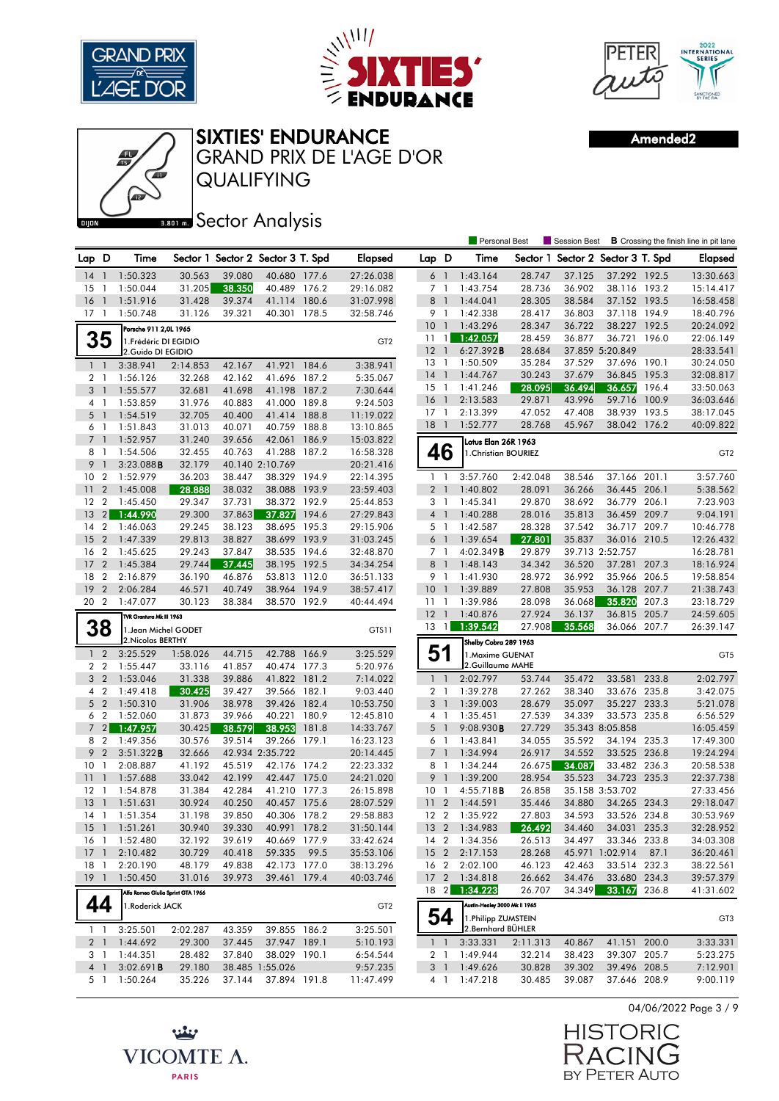





QUALIFYING GRAND PRIX DE L'AGE D'OR Amended2

| AS I  |            |
|-------|------------|
| DIJON | $3.801$ m. |

Sector Analysis

|                |                |                                   |          |                                   |                 |       |                 |                 |                | <b>Personal Best</b>          |          | Session Best                      |                 |       | <b>B</b> Crossing the finish line in pit lane |
|----------------|----------------|-----------------------------------|----------|-----------------------------------|-----------------|-------|-----------------|-----------------|----------------|-------------------------------|----------|-----------------------------------|-----------------|-------|-----------------------------------------------|
| Lap D          |                | Time                              |          | Sector 1 Sector 2 Sector 3 T. Spd |                 |       | <b>Elapsed</b>  | Lap D           |                | Time                          |          | Sector 1 Sector 2 Sector 3 T. Spd |                 |       | <b>Elapsed</b>                                |
| 14             | $\overline{1}$ | 1:50.323                          | 30.563   | 39.080                            | 40.680 177.6    |       | 27:26.038       | 6               | $\overline{1}$ | 1:43.164                      | 28.747   | 37.125                            | 37.292 192.5    |       | 13:30.663                                     |
| 15             | -1             | 1:50.044                          | 31.205   | 38.350                            | 40.489 176.2    |       | 29:16.082       | 7 1             |                | 1:43.754                      | 28.736   | 36.902                            | 38.116 193.2    |       | 15:14.417                                     |
| 16             | $\overline{1}$ | 1:51.916                          | 31.428   | 39.374                            | 41.114          | 180.6 | 31:07.998       | 8               | $\overline{1}$ | 1:44.041                      | 28.305   | 38.584                            | 37.152 193.5    |       | 16:58.458                                     |
| 17             | -1             | 1:50.748                          | 31.126   | 39.321                            | 40.301          | 178.5 | 32:58.746       | 9               | $\overline{1}$ | 1:42.338                      | 28.417   | 36.803                            | 37.118 194.9    |       | 18:40.796                                     |
|                |                | Porsche 911 2,0L 1965             |          |                                   |                 |       |                 | 10 <sup>°</sup> | $\overline{1}$ | 1:43.296                      | 28.347   | 36.722                            | 38.227 192.5    |       | 20:24.092                                     |
|                | 35             | 1. Frédéric DI EGIDIO             |          |                                   |                 |       | GT <sub>2</sub> | $11 \quad 1$    |                | 1:42.057                      | 28.459   | 36.877                            | 36.721          | 196.0 | 22:06.149                                     |
|                |                | 2.Guido DI EGIDIO                 |          |                                   |                 |       |                 | 12              | $\overline{1}$ | 6:27.392B                     | 28.684   |                                   | 37.859 5:20.849 |       | 28:33.541                                     |
| $1\quad$       |                | 3:38.941                          | 2:14.853 | 42.167                            | 41.921          | 184.6 | 3:38.941        | 13              | -1             | 1:50.509                      | 35.284   | 37.529                            | 37.696 190.1    |       | 30:24.050                                     |
| 2 <sub>1</sub> |                | 1:56.126                          | 32.268   | 42.162                            | 41.696          | 187.2 | 5:35.067        | 14              | $\overline{1}$ | 1:44.767                      | 30.243   | 37.679                            | 36.845          | 195.3 | 32:08.817                                     |
| 3 <sup>1</sup> |                | 1:55.577                          | 32.681   | 41.698                            | 41.198          | 187.2 | 7:30.644        | $15-1$          |                | 1:41.246                      | 28.095   | 36.494                            | 36.657          | 196.4 | 33:50.063                                     |
|                | 4 1            | 1:53.859                          | 31.976   | 40.883                            | 41.000          | 189.8 | 9:24.503        | 16              | $\overline{1}$ | 2:13.583                      | 29.871   | 43.996                            | 59.716          | 100.9 | 36:03.646                                     |
| 5              | $\overline{1}$ | 1:54.519                          | 32.705   | 40.400                            | 41.414          | 188.8 | 11:19.022       | $17-1$          |                | 2:13.399                      | 47.052   | 47.408                            | 38.939 193.5    |       | 38:17.045                                     |
| $6-1$          |                | 1:51.843                          | 31.013   | 40.071                            | 40.759          | 188.8 | 13:10.865       | 18              | $\overline{1}$ | 1:52.777                      | 28.768   | 45.967                            | 38.042          | 176.2 | 40:09.822                                     |
| 7 <sup>1</sup> |                | 1:52.957                          | 31.240   | 39.656                            | 42.061          | 186.9 | 15:03.822       |                 |                | Lotus Elan 26R 1963           |          |                                   |                 |       |                                               |
| 8              | $\overline{1}$ | 1:54.506                          | 32.455   | 40.763                            | 41.288          | 187.2 | 16:58.328       |                 | 46             | 1. Christian BOURIEZ          |          |                                   |                 |       | GT <sub>2</sub>                               |
| 9              | $\overline{1}$ | 3:23.088B                         | 32.179   |                                   | 40.140 2:10.769 |       | 20:21.416       |                 |                |                               |          |                                   |                 |       |                                               |
| 10             | $\overline{2}$ | 1:52.979                          | 36.203   | 38.447                            | 38.329 194.9    |       | 22:14.395       | $1\quad$        |                | 3:57.760                      | 2:42.048 | 38.546                            | 37.166 201.1    |       | 3:57.760                                      |
| 11             | $\overline{2}$ | 1:45.008                          | 28.888   | 38.032                            | 38.088          | 193.9 | 23:59.403       | 2 <sub>1</sub>  |                | 1:40.802                      | 28.091   | 36.266                            | 36.445 206.1    |       | 5:38.562                                      |
| 12             | $\overline{2}$ | 1:45.450                          | 29.347   | 37.731                            | 38.372          | 192.9 | 25:44.853       | 3               | $\overline{1}$ | 1:45.341                      | 29.870   | 38.692                            | 36.779          | 206.1 | 7:23.903                                      |
| 13             | 2 <sup>1</sup> | 1:44.990                          | 29.300   | 37.863                            | 37.827          | 194.6 | 27:29.843       | 4 <sup>1</sup>  |                | 1:40.288                      | 28.016   | 35.813                            | 36.459 209.7    |       | 9:04.191                                      |
| 14             | $\overline{2}$ | 1:46.063                          | 29.245   | 38.123                            | 38.695          | 195.3 | 29:15.906       | 5               | $\overline{1}$ | 1:42.587                      | 28.328   | 37.542                            | 36.717          | 209.7 | 10:46.778                                     |
| 15             | $\overline{2}$ | 1:47.339                          | 29.813   | 38.827                            | 38.699 193.9    |       | 31:03.245       | 6 <sup>1</sup>  |                | 1:39.654                      | 27.801   | 35.837                            | 36.016 210.5    |       | 12:26.432                                     |
| 16             | $\overline{2}$ | 1:45.625                          | 29.243   | 37.847                            | 38.535          | 194.6 | 32:48.870       | 7 <sub>1</sub>  |                | 4:02.349B                     | 29.879   |                                   | 39.713 2:52.757 |       | 16:28.781                                     |
| 17             | $\overline{2}$ | 1:45.384                          | 29.744   | 37.445                            | 38.195          | 192.5 | 34:34.254       | 8               | $\overline{1}$ | 1:48.143                      | 34.342   | 36.520                            | 37.281          | 207.3 | 18:16.924                                     |
| 18             | $\overline{2}$ | 2:16.879                          | 36.190   | 46.876                            | 53.813          | 112.0 | 36:51.133       | 9 1             |                | 1:41.930                      | 28.972   | 36.992                            | 35.966 206.5    |       | 19:58.854                                     |
| 19             | $\overline{2}$ | 2:06.284                          | 46.571   | 40.749                            | 38.964          | 194.9 | 38:57.417       | 10              | $\overline{1}$ | 1:39.889                      | 27.808   | 35.953                            | 36.128          | 207.7 | 21:38.743                                     |
| 20 2           |                | 1:47.077                          | 30.123   | 38.384                            | 38.570 192.9    |       | 40:44.494       | $11-1$          |                | 1:39.986                      | 28.098   | 36.068                            | 35.820          | 207.3 | 23:18.729                                     |
|                |                | TVR Grantura Mk III 1963          |          |                                   |                 |       |                 | $12-1$          |                | 1:40.876                      | 27.924   | 36.137                            | 36.815          | 205.7 | 24:59.605                                     |
|                | 38             | 1. Jean Michel GODET              |          |                                   |                 |       | GTS11           | 13              | $\overline{1}$ | 1:39.542                      | 27.908   | 35.568                            | 36.066 207.7    |       | 26:39.147                                     |
|                |                | 2. Nicolas BERTHY                 |          |                                   |                 |       |                 |                 |                | Shelby Cobra 289 1963         |          |                                   |                 |       |                                               |
| $\mathbf{1}$   | $\overline{2}$ | 3:25.529                          | 1:58.026 | 44.715                            | 42.788          | 166.9 | 3:25.529        | 51              |                | 1. Maxime GUENAT              |          |                                   |                 |       | GT5                                           |
|                | 2 <sub>2</sub> | 1:55.447                          | 33.116   | 41.857                            | 40.474 177.3    |       | 5:20.976        |                 |                | 2.Guillaume MAHE              |          |                                   |                 |       |                                               |
| 3              | $\overline{2}$ | 1:53.046                          | 31.338   | 39.886                            | 41.822          | 181.2 | 7:14.022        | $\mathbf{1}$    | $\overline{1}$ | 2:02.797                      | 53.744   | 35.472                            | 33.581          | 233.8 | 2:02.797                                      |
| 4              | $\overline{2}$ | 1:49.418                          | 30.425   | 39.427                            | 39.566          | 182.1 | 9:03.440        | 2 <sub>1</sub>  |                | 1:39.278                      | 27.262   | 38.340                            | 33.676 235.8    |       | 3:42.075                                      |
|                | 5 <sub>2</sub> | 1:50.310                          | 31.906   | 38.978                            | 39.426          | 182.4 | 10:53.750       | 3               | $\overline{1}$ | 1:39.003                      | 28.679   | 35.097                            | 35.227 233.3    |       | 5:21.078                                      |
| 6              | $\overline{2}$ | 1:52.060                          | 31.873   | 39.966                            | 40.221          | 180.9 | 12:45.810       | 4 1             |                | 1:35.451                      | 27.539   | 34.339                            | 33.573 235.8    |       | 6:56.529                                      |
| $\overline{7}$ | 2 <sup>1</sup> | 1:47.957                          | 30.425   | 38.579                            | 38.953          | 181.8 | 14:33.767       | 5               | $\overline{1}$ | 9:08.930B                     | 27.729   |                                   | 35.343 8:05.858 |       | 16:05.459                                     |
| 8              | $\overline{2}$ | 1:49.356                          | 30.576   | 39.514                            | 39.266          | 179.1 | 16:23.123       | 6               | $\overline{1}$ | 1:43.841                      | 34.055   | 35.592                            | 34.194          | 235.3 | 17:49.300                                     |
| 9              | $\overline{2}$ | 3:51.322B                         | 32.666   |                                   | 42.934 2:35.722 |       | 20:14.445       | 7 <sub>1</sub>  |                | 1:34.994                      | 26.917   | 34.552                            | 33.525 236.8    |       | 19:24.294                                     |
| 10             | $\mathbf{1}$   | 2:08.887                          | 41.192   | 45.519                            | 42.176 174.2    |       | 22:23.332       | 8 1             |                | 1:34.244                      | 26.675   | 34.087                            | 33.482 236.3    |       | 20:58.538                                     |
| 11             | $\overline{1}$ | 1:57.688                          | 33.042   | 42.199                            | 42.447          | 175.0 | 24:21.020       | 9               | $\overline{1}$ | 1:39.200                      | 28.954   | 35.523                            | 34.723 235.3    |       | 22:37.738                                     |
| 12             | $\mathbf{1}$   | 1:54.878                          | 31.384   | 42.284                            | 41.210 177.3    |       | 26:15.898       | 10              | $\overline{1}$ | 4:55.718B                     | 26.858   |                                   | 35.158 3:53.702 |       | 27:33.456                                     |
| 13             |                | 1:51.631                          | 30.924   | 40.250                            | 40.457          | 175.6 | 28:07.529       | 11              | $\overline{2}$ | 1:44.591                      | 35.446   | 34.880                            | 34.265 234.3    |       | 29:18.047                                     |
| 14             | $\mathbf{1}$   | 1:51.354                          | 31.198   | 39.850                            | 40.306 178.2    |       | 29:58.883       | 12 2            |                | 1:35.922                      | 27.803   | 34.593                            | 33.526 234.8    |       | 30:53.969                                     |
| 15 1           |                | 1:51.261                          | 30.940   | 39.330                            | 40.991 178.2    |       | 31:50.144       |                 |                | 13 2 1:34.983                 | 26.492   | 34.460                            | 34.031 235.3    |       | 32:28.952                                     |
| 16 1           |                | 1:52.480                          | 32.192   | 39.619                            | 40.669 177.9    |       | 33:42.624       |                 |                | 14 2 1:34.356                 | 26.513   | 34.497                            | 33.346 233.8    |       | 34:03.308                                     |
| $17-1$         |                | 2:10.482                          | 30.729   | 40.418                            | 59.335          | 99.5  | 35:53.106       | 15 <sub>2</sub> |                | 2:17.153                      | 28.268   |                                   | 45.971 1:02.914 | 87.1  | 36:20.461                                     |
| 18 1           |                | 2:20.190                          | 48.179   | 49.838                            | 42.173 177.0    |       | 38:13.296       | 16 <sub>2</sub> |                | 2:02.100                      | 46.123   | 42.463                            | 33.514 232.3    |       | 38:22.561                                     |
| $19-1$         |                | 1:50.450                          | 31.016   | 39.973                            | 39.461 179.4    |       | 40:03.746       |                 |                | 17 2 1:34.818                 | 26.662   | 34.476                            | 33.680 234.3    |       | 39:57.379                                     |
|                |                | Alfa Romeo Giulia Sprint GTA 1966 |          |                                   |                 |       |                 | $18 \quad 2$    |                | 1:34.223                      | 26.707   | 34.349                            | 33.167          | 236.8 | 41:31.602                                     |
|                | 44             |                                   |          |                                   |                 |       |                 |                 |                | Austin-Healey 3000 Mk II 1965 |          |                                   |                 |       |                                               |
|                |                | 1.Roderick JACK                   |          |                                   |                 |       | GT <sub>2</sub> |                 | 54             | 1. Philipp ZUMSTEIN           |          |                                   |                 |       |                                               |
|                | $1\quad1$      | 3:25.501                          | 2:02.287 | 43.359                            | 39.855 186.2    |       | 3:25.501        |                 |                | 2.Bernhard BÜHLER             |          |                                   |                 |       | GT3                                           |
|                | 2 <sub>1</sub> | 1:44.692                          | 29.300   | 37.445                            | 37.947 189.1    |       | 5:10.193        |                 | $1\quad1$      | 3:33.331                      | 2:11.313 | 40.867                            | 41.151 200.0    |       | 3:33.331                                      |
|                | 3 1            | 1:44.351                          | 28.482   | 37.840                            | 38.029 190.1    |       | 6:54.544        |                 | 2 1            | 1:49.944                      | 32.214   | 38.423                            | 39.307 205.7    |       | 5:23.275                                      |
|                | 4 <sup>1</sup> | 3:02.691B                         | 29.180   |                                   | 38.485 1:55.026 |       | 9:57.235        | 3 <sup>1</sup>  |                | 1:49.626                      | 30.828   | 39.302                            | 39.496 208.5    |       | 7:12.901                                      |
|                | 5 1            | 1:50.264                          | 35.226   | 37.144                            | 37.894 191.8    |       | 11:47.499       |                 | 4 1            | 1:47.218                      | 30.485   | 39.087                            | 37.646 208.9    |       | 9:00.119                                      |
|                |                |                                   |          |                                   |                 |       |                 |                 |                |                               |          |                                   |                 |       |                                               |



**HISTORIC** RACIN È BY PETER AUTO

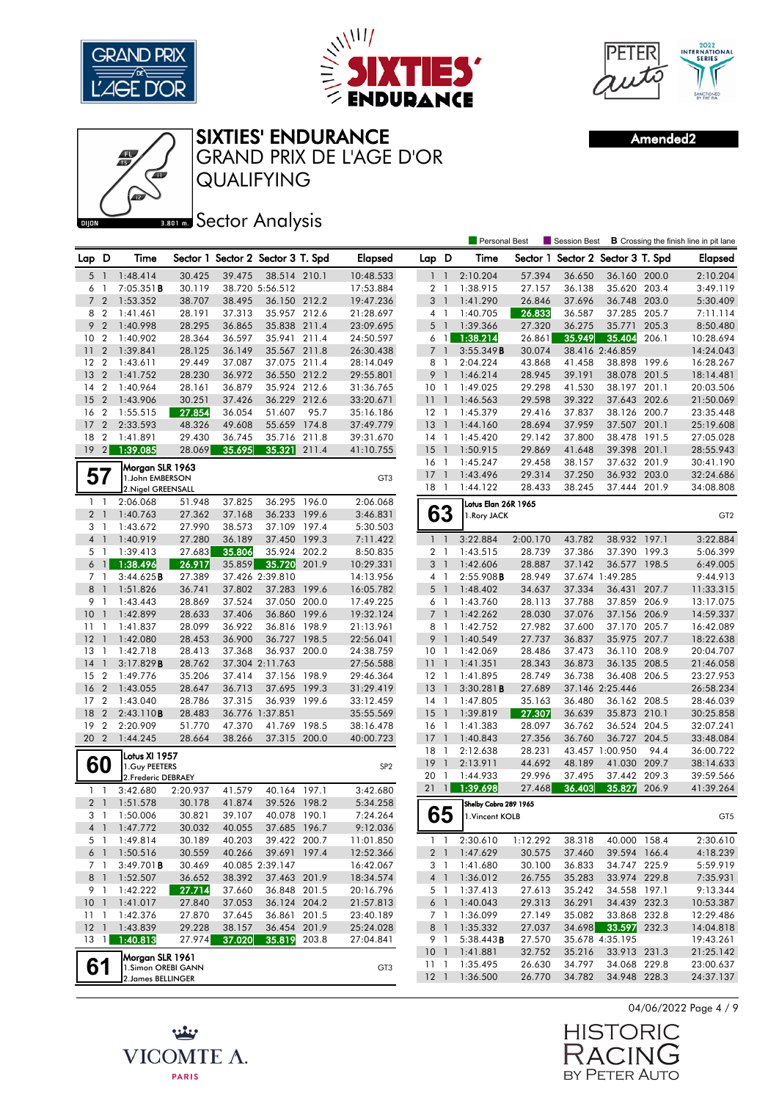





Amended2

Personal Best **S** Session Best **B** Crossing the finish line in pit lane



**BROIR** Sector Analysis

| Lap D           |                                  | Time                                  |                  |        | Sector 1 Sector 2 Sector 3 T. Spd |       | Elapsed                | Lap D                     |                          | Time                  |                  | Sector 1 Sector 2 Sector 3 T. Spd |                              |       | <b>Elapsed</b>         |
|-----------------|----------------------------------|---------------------------------------|------------------|--------|-----------------------------------|-------|------------------------|---------------------------|--------------------------|-----------------------|------------------|-----------------------------------|------------------------------|-------|------------------------|
| 5 <sub>1</sub>  |                                  | 1:48.414                              | 30.425           | 39.475 | 38.514 210.1                      |       | 10:48.533              | $1\quad1$                 |                          | 2:10.204              | 57.394           | 36.650                            | 36.160 200.0                 |       | 2:10.204               |
| 6               | $\overline{1}$                   | 7:05.351B                             | 30.119           |        | 38.720 5:56.512                   |       | 17:53.884              | 2 <sub>1</sub>            |                          | 1:38.915              | 27.157           | 36.138                            | 35.620 203.4                 |       | 3:49.119               |
| 72              |                                  | 1:53.352                              | 38.707           | 38.495 | 36.150 212.2                      |       | 19:47.236              | 3 <sup>1</sup>            |                          | 1:41.290              | 26.846           | 37.696                            | 36.748 203.0                 |       | 5:30.409               |
| 8 2             |                                  | 1:41.461                              | 28.191           | 37.313 | 35.957 212.6                      |       | 21:28.697              | 4 1                       |                          | 1:40.705              | 26.833           | 36.587                            | 37.285 205.7                 |       | 7:11.114               |
| 9               | $\overline{2}$                   | 1:40.998                              | 28.295           | 36.865 | 35.838 211.4                      |       | 23:09.695              | $5-1$                     |                          | 1:39.366              | 27.320           | 36.275                            | 35.771                       | 205.3 | 8:50.480               |
| 10              | $\overline{2}$                   | 1:40.902                              | 28.364           | 36.597 | 35.941 211.4                      |       | 24:50.597              |                           | $6 \quad 1$              | 1:38.214              | 26.861           | 35.949                            | 35.404                       | 206.1 | 10:28.694              |
| 11              | $\overline{2}$                   | 1:39.841                              | 28.125           | 36.149 | 35.567 211.8                      |       | 26:30.438              | $\overline{7}$            |                          | 3:55.349B             | 30.074           |                                   | 38.416 2:46.859              |       | 14:24.043              |
| $12 \,$         | $\overline{2}$                   | 1:43.611                              | 29.449           | 37.087 | 37.075 211.4                      |       | 28:14.049              | 8                         | $\overline{1}$           | 2:04.224              | 43.868           | 41.458                            | 38.898 199.6                 |       | 16:28.267              |
| 13              | $\overline{2}$                   | 1:41.752                              | 28.230           | 36.972 | 36.550 212.2                      |       | 29:55.801              | 9 <sub>1</sub>            |                          | 1:46.214              | 28.945           | 39.191                            | 38.078 201.5                 |       | 18:14.481              |
| 14              | $\overline{2}$                   | 1:40.964                              | 28.161           | 36.879 | 35.924 212.6                      |       | 31:36.765              | 10 <sub>1</sub>           |                          | 1:49.025              | 29.298           | 41.530                            | 38.197 201.1                 |       | 20:03.506              |
| 15              | $\overline{2}$                   | 1:43.906                              | 30.251           | 37.426 | 36.229 212.6                      |       | 33:20.671              | 111                       |                          | 1:46.563              | 29.598           | 39.322                            | 37.643 202.6                 |       | 21:50.069              |
| 16              | $\overline{2}$                   | 1:55.515                              | 27.854           | 36.054 | 51.607                            | 95.7  | 35:16.186              | $12-1$                    |                          | 1:45.379              | 29.416           | 37.837                            | 38.126 200.7                 |       | 23:35.448              |
| 17              | $\overline{2}$                   | 2:33.593                              | 48.326           | 49.608 | 55.659 174.8                      |       | 37:49.779              | 13                        | $\overline{\phantom{a}}$ | 1:44.160              | 28.694           | 37.959                            | 37.507 201.1                 |       | 25:19.608              |
| 18              | $\overline{2}$                   | 1:41.891                              | 29.430           | 36.745 | 35.716                            | 211.8 | 39:31.670              | $14-1$                    |                          | 1:45.420              | 29.142           | 37.800                            | 38.478 191.5                 |       | 27:05.028              |
| 19              | 2                                | 1:39.085                              | 28.069           | 35.695 | 35.321                            | 211.4 | 41:10.755              | 15                        | $\overline{1}$           | 1:50.915              | 29.869           | 41.648                            | 39.398 201.1                 |       | 28:55.943              |
|                 |                                  | Morgan SLR 1963                       |                  |        |                                   |       |                        | $16-1$                    |                          | 1:45.247              | 29.458           | 38.157                            | 37.632 201.9                 |       | 30:41.190              |
| 57              |                                  | 1.John EMBERSON                       |                  |        |                                   |       | GT <sub>3</sub>        | 17                        | $\overline{1}$           | 1:43.496              | 29.314           | 37.250                            | 36.932 203.0                 |       | 32:24.686              |
|                 |                                  | 2. Nigel GREENSALL                    |                  |        |                                   |       |                        | $18-1$                    |                          | 1:44.122              | 28.433           | 38.245                            | 37.444 201.9                 |       | 34:08.808              |
| $1\quad$        |                                  | 2:06.068                              | 51.948           | 37.825 | 36.295 196.0                      |       | 2:06.068               |                           |                          | Lotus Elan 26R 1965   |                  |                                   |                              |       |                        |
| 2 <sub>1</sub>  |                                  | 1:40.763                              | 27.362           | 37.168 | 36.233                            | 199.6 | 3:46.831               |                           | 63                       | 1. Rory JACK          |                  |                                   |                              |       | GT <sub>2</sub>        |
| 3 1             |                                  | 1:43.672                              | 27.990           | 38.573 | 37.109 197.4                      |       | 5:30.503               |                           |                          |                       |                  |                                   |                              |       |                        |
| 4 <sub>1</sub>  |                                  | 1:40.919                              | 27.280           | 36.189 | 37.450 199.3                      |       | 7:11.422               | $1\quad$                  |                          | 3:22.884              | 2:00.170         | 43.782                            | 38.932 197.1                 |       | 3:22.884               |
| 5 <sub>1</sub>  |                                  | 1:39.413                              | 27.683           | 35.806 | 35.924 202.2                      |       | 8:50.835               | $\overline{2}$            | $\overline{1}$           | 1:43.515              | 28.739           | 37.386                            | 37.390 199.3                 |       | 5:06.399               |
| 6 <sub>1</sub>  |                                  | 1:38.496                              | 26.917           | 35.859 | 35.720                            | 201.9 | 10:29.331              | 3                         | - 1                      | 1:42.606              | 28.887           | 37.142                            | 36.577 198.5                 |       | 6:49.005               |
| 7 <sub>1</sub>  |                                  | 3:44.625B                             | 27.389           |        | 37.426 2:39.810                   |       | 14:13.956              | 4 1                       |                          | 2:55.908B             | 28.949           |                                   | 37.674 1:49.285              |       | 9:44.913               |
| 8               | $\overline{1}$                   | 1:51.826                              | 36.741           | 37.802 | 37.283                            | 199.6 | 16:05.782              | 5                         | $\overline{1}$           | 1:48.402              | 34.637           | 37.334                            | 36.431 207.7                 |       | 11:33.315              |
| 9 1             |                                  | 1:43.443                              | 28.869           | 37.524 | 37.050                            | 200.0 | 17:49.225              | 6 1                       |                          | 1:43.760              | 28.113           | 37.788                            | 37.859 206.9                 |       | 13:17.075              |
| 10              | $\mathbf{1}$                     | 1:42.899                              | 28.633           | 37.406 | 36.860 199.6                      |       | 19:32.124              | 7 <sup>1</sup>            |                          | 1:42.262              | 28.030           | 37.076                            | 37.156 206.9                 |       | 14:59.337              |
| 11              | $\mathbf{1}$                     | 1:41.837                              | 28.099           | 36.922 | 36.816 198.9                      |       | 21:13.961              | 8 1                       |                          | 1:42.752              | 27.982           | 37.600                            | 37.170 205.7                 |       | 16:42.089              |
| 12              | $\overline{1}$                   | 1:42.080                              | 28.453           | 36.900 | 36.727 198.5                      |       | 22:56.041              | 9                         | $\overline{1}$           | 1:40.549              | 27.737           | 36.837                            | 35.975 207.7                 |       | 18:22.638              |
| $13-1$          |                                  | 1:42.718                              | 28.413           | 37.368 | 36.937 200.0                      |       | 24:38.759              | 10 <sub>1</sub>           |                          | 1:42.069              | 28.486           | 37.473                            | 36.110 208.9                 |       | 20:04.707              |
| 14<br>15        | $\overline{1}$<br>$\overline{2}$ | 3:17.829B<br>1:49.776                 | 28.762<br>35.206 | 37.414 | 37.304 2:11.763<br>37.156 198.9   |       | 27:56.588              | 11 <sub>1</sub><br>$12-1$ |                          | 1:41.351<br>1:41.895  | 28.343<br>28.749 | 36.873<br>36.738                  | 36.135 208.5<br>36.408 206.5 |       | 21:46.058<br>23:27.953 |
| 16              | $\overline{2}$                   | 1:43.055                              | 28.647           | 36.713 | 37.695                            | 199.3 | 29:46.364<br>31:29.419 | 13                        |                          | 3:30.281B             | 27.689           |                                   | 37.146 2:25.446              |       | 26:58.234              |
| 17              | $\overline{2}$                   | 1:43.040                              | 28.786           | 37.315 | 36.939 199.6                      |       | 33:12.459              | $14-1$                    |                          | 1:47.805              | 35.163           | 36.480                            | 36.162 208.5                 |       | 28:46.039              |
| 18              | $\overline{2}$                   | 2:43.110B                             | 28.483           |        | 36.776 1:37.851                   |       | 35:55.569              | $15-1$                    |                          | 1:39.819              | 27.307           | 36.639                            | 35.873 210.1                 |       | 30:25.858              |
| 19              | $\overline{2}$                   | 2:20.909                              | 51.770           | 47.370 | 41.769 198.5                      |       | 38:16.478              | 16 <sub>1</sub>           |                          | 1:41.383              | 28.097           | 36.762                            | 36.524 204.5                 |       | 32:07.241              |
| 20 2            |                                  | 1:44.245                              | 28.664           | 38.266 | 37.315 200.0                      |       | 40:00.723              | 17                        | $\overline{1}$           | 1:40.843              | 27.356           | 36.760                            | 36.727 204.5                 |       | 33:48.084              |
|                 |                                  |                                       |                  |        |                                   |       |                        | 18                        | $\overline{1}$           | 2:12.638              | 28.231           |                                   | 43.457 1:00.950              | 94.4  | 36:00.722              |
| 60              |                                  | Lotus XI 1957                         |                  |        |                                   |       |                        | 19                        | $\bigcap$                | 2:13.911              | 44.692           | 48.189                            | 41.030 209.7                 |       | 38:14.633              |
|                 |                                  | 1. Guy PEETERS<br>2. Frederic DEBRAEY |                  |        |                                   |       | SP <sub>2</sub>        | 20 1                      |                          | 1:44.933              | 29.996           | 37.495                            | 37.442                       | 209.3 | 39:59.566              |
| $1\quad$        |                                  | 3:42.680                              | 2:20.937         | 41.579 | 40.164 197.1                      |       | 3:42.680               | 21                        | $\overline{1}$           | 1:39.698              | 27.468           | 36.403                            | 35.827                       | 206.9 | 41:39.264              |
| 2 <sub>1</sub>  |                                  | 1:51.578                              | 30.178           | 41.874 | 39.526 198.2                      |       | 5:34.258               |                           |                          | Shelby Cobra 289 1965 |                  |                                   |                              |       |                        |
| 3 <sub>1</sub>  |                                  | 1:50.006                              | 30.821           | 39.107 | 40.078                            | 190.1 | 7:24.264               |                           | 65                       | 1. Vincent KOLB       |                  |                                   |                              |       | GT5                    |
| 4 <sup>1</sup>  |                                  | 1:47.772                              | 30.032           | 40.055 | 37.685 196.7                      |       | 9:12.036               |                           |                          |                       |                  |                                   |                              |       |                        |
| 5 <sub>1</sub>  |                                  | 1:49.814                              | 30.189           | 40.203 | 39.422 200.7                      |       | 11:01.850              |                           | $1 \quad 1$              | 2:30.610              | 1:12.292         | 38.318                            | 40.000 158.4                 |       | 2:30.610               |
| 6 1             |                                  | 1:50.516                              | 30.559           | 40.266 | 39.691 197.4                      |       | 12:52.366              | 2 <sub>1</sub>            |                          | 1:47.629              | 30.575           | 37.460                            | 39.594 166.4                 |       | 4:18.239               |
| 7 1             |                                  | 3:49.701B                             | 30.469           |        | 40.085 2:39.147                   |       | 16:42.067              | 3 1                       |                          | 1:41.680              | 30.100           | 36.833                            | 34.747 225.9                 |       | 5:59.919               |
| 8 1             |                                  | 1:52.507                              | 36.652           | 38.392 | 37.463 201.9                      |       | 18:34.574              | 4 <sup>1</sup>            |                          | 1:36.012              | 26.755           | 35.283                            | 33.974 229.8                 |       | 7:35.931               |
| 9 1             |                                  | 1:42.222                              | 27.714           | 37.660 | 36.848 201.5                      |       | 20:16.796              | 5 <sub>1</sub>            |                          | 1:37.413              | 27.613           | 35.242                            | 34.558 197.1                 |       | 9:13.344               |
| 10 <sub>1</sub> |                                  | 1:41.017                              | 27.840           | 37.053 | 36.124 204.2                      |       | 21:57.813              | $6-1$                     |                          | 1:40.043              | 29.313           | 36.291                            | 34.439 232.3                 |       | 10:53.387              |
| 1111            |                                  | 1:42.376                              | 27.870           | 37.645 | 36.861 201.5                      |       | 23:40.189              | 7 <sup>1</sup>            |                          | 1:36.099              | 27.149           | 35.082                            | 33.868 232.8                 |       | 12:29.486              |
| $12-1$          |                                  | 1:43.839                              | 29.228           | 38.157 | 36.454 201.9                      |       | 25:24.028              | 8 1                       |                          | 1:35.332              | 27.037           | 34.698                            | 33.597 232.3                 |       | 14:04.818              |
|                 |                                  | 13 1 1:40.813                         | 27.974           | 37.020 | 35.819 203.8                      |       | 27:04.841              | 9 1                       |                          | 5:38.443B             | 27.570           |                                   | 35.678 4:35.195              |       | 19:43.261              |
|                 |                                  | Morgan SLR 1961                       |                  |        |                                   |       |                        | 10 <sub>1</sub>           |                          | 1:41.881              | 32.752           | 35.216                            | 33.913 231.3                 |       | 21:25.142              |
| 61              |                                  | 1.Simon OREBI GANN                    |                  |        |                                   |       | GT <sub>3</sub>        | 11 <sub>1</sub>           |                          | 1:35.495              | 26.630           | 34.797                            | 34.068 229.8                 |       | 23:00.637              |
|                 |                                  | 2. James BELLINGER                    |                  |        |                                   |       |                        | $12-1$                    |                          | 1:36.500              | 26.770           | 34.782                            | 34.948 228.3                 |       | 24:37.137              |
|                 |                                  |                                       |                  |        |                                   |       |                        |                           |                          |                       |                  |                                   |                              |       |                        |



**HISTORIC** RACIN  $\mathbf{G}$ BY PETER AUTO

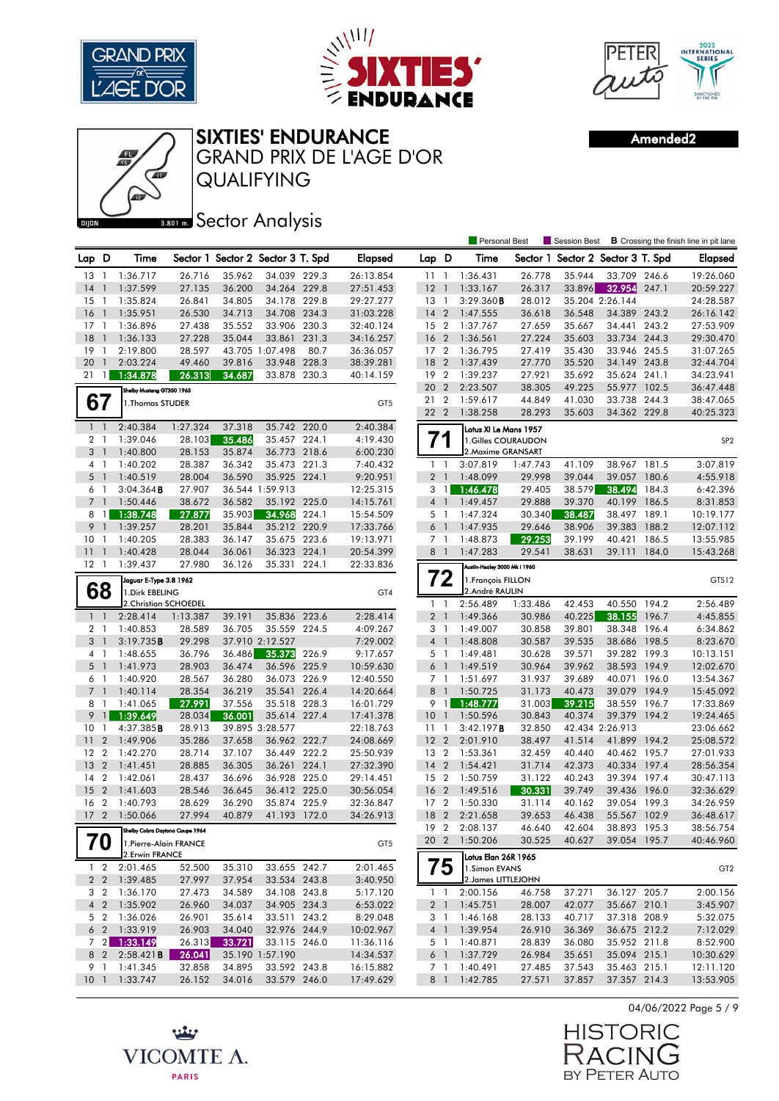





Amended2



QUALIFYING GRAND PRIX DE L'AGE D'OR SIXTIES' ENDURANCE

## **Bector Analysis**

|                                  |                                    |                                                          |                  |                  |                                   |       |                        |                            |                | <b>Personal Best</b>                     |                  | Session Best             |                        |       | <b>B</b> Crossing the finish line in pit lane |
|----------------------------------|------------------------------------|----------------------------------------------------------|------------------|------------------|-----------------------------------|-------|------------------------|----------------------------|----------------|------------------------------------------|------------------|--------------------------|------------------------|-------|-----------------------------------------------|
| Lap D                            |                                    | Time                                                     |                  |                  | Sector 1 Sector 2 Sector 3 T. Spd |       | <b>Elapsed</b>         | Lap D                      |                | Time                                     | Sector 1         | Sector 2 Sector 3 T. Spd |                        |       | <b>Elapsed</b>                                |
| 13                               | -1                                 | 1:36.717                                                 | 26.716           | 35.962           | 34.039 229.3                      |       | 26:13.854              | 111                        |                | 1:36.431                                 | 26.778           | 35.944                   | 33.709 246.6           |       | 19:26.060                                     |
| 14                               | $\overline{1}$                     | 1:37.599                                                 | 27.135           | 36.200           | 34.264 229.8                      |       | 27:51.453              | $12-1$                     |                | 1:33.167                                 | 26.317           | 33.896                   | 32.954                 | 247.1 | 20:59.227                                     |
| 15                               | $\mathbf{1}$                       | 1:35.824                                                 | 26.841           | 34.805           | 34.178 229.8                      |       | 29:27.277              | $13-1$                     |                | 3:29.360B                                | 28.012           |                          | 35.204 2:26.144        |       | 24:28.587                                     |
| 16                               | $\overline{1}$                     | 1:35.951                                                 | 26.530           | 34.713           | 34.708 234.3                      |       | 31:03.228              | 14                         | $\overline{2}$ | 1:47.555                                 | 36.618           | 36.548                   | 34.389 243.2           |       | 26:16.142                                     |
| $17-1$                           |                                    | 1:36.896                                                 | 27.438           | 35.552           | 33.906 230.3                      |       | 32:40.124              | 15 <sup>2</sup>            |                | 1:37.767                                 | 27.659           | 35.667                   | 34.441                 | 243.2 | 27:53.909                                     |
| 18                               | $\overline{1}$                     | 1:36.133                                                 | 27.228           | 35.044           | 33.861                            | 231.3 | 34:16.257              | 16                         | $\overline{2}$ | 1:36.561                                 | 27.224           | 35.603                   | 33.734                 | 244.3 | 29:30.470                                     |
| 19                               | -1                                 | 2:19.800                                                 | 28.597           |                  | 43.705 1:07.498                   | 80.7  | 36:36.057              | 17 <sup>2</sup>            |                | 1:36.795                                 | 27.419           | 35.430                   | 33.946 245.5           |       | 31:07.265                                     |
| 20                               | $\overline{1}$                     | 2:03.224                                                 | 49.460           | 39.816           | 33.948 228.3                      |       | 38:39.281              | 18                         | $\overline{2}$ | 1:37.439                                 | 27.770           | 35.520                   | 34.149                 | 243.8 | 32:44.704                                     |
| 21                               | $\mathbf{1}$                       | 1:34.878                                                 | 26.313           | 34.687           | 33.878 230.3                      |       | 40:14.159              | 19 <sup>2</sup>            |                | 1:39.237                                 | 27.921           | 35.692                   | 35.624 241.1           |       | 34:23.941                                     |
|                                  |                                    | Shelby Mustang GT350 1965                                |                  |                  |                                   |       |                        | 20                         | $\overline{2}$ | 2:23.507                                 | 38.305           | 49.225                   | 55.977 102.5           |       | 36:47.448                                     |
| 67                               |                                    | 1. Thomas STUDER                                         |                  |                  |                                   |       | GT <sub>5</sub>        | 21<br>22 2                 | $\overline{2}$ | 1:59.617<br>1:38.258                     | 44.849<br>28.293 | 41.030<br>35.603         | 33.738<br>34.362 229.8 | 244.3 | 38:47.065<br>40:25.323                        |
|                                  |                                    |                                                          |                  |                  |                                   |       |                        |                            |                |                                          |                  |                          |                        |       |                                               |
| 1 <sup>1</sup>                   |                                    | 2:40.384                                                 | 1:27.324         | 37.318           | 35.742 220.0                      |       | 2:40.384               |                            |                | Lotus XI Le Mans 1957                    |                  |                          |                        |       |                                               |
| 2 <sub>1</sub><br>3 <sup>1</sup> |                                    | 1:39.046                                                 | 28.103           | 35.486           | 35.457 224.1<br>36.773 218.6      |       | 4:19.430               |                            |                | 1.Gilles COURAUDON<br>2. Maxime GRANSART |                  |                          |                        |       | SP <sub>2</sub>                               |
| 4 1                              |                                    | 1:40.800                                                 | 28.153<br>28.387 | 35.874<br>36.342 | 35.473 221.3                      |       | 6:00.230               |                            |                | 3:07.819                                 | 1:47.743         | 41.109                   | 38.967 181.5           |       | 3:07.819                                      |
| $5-1$                            |                                    | 1:40.202<br>1:40.519                                     | 28.004           | 36.590           | 35.925 224.1                      |       | 7:40.432<br>9:20.951   | $1\quad$<br>2 <sub>1</sub> |                | 1:48.099                                 | 29.998           | 39.044                   | 39.057                 | 180.6 | 4:55.918                                      |
| 6                                | $\overline{1}$                     | 3:04.364B                                                | 27.907           |                  | 36.544 1:59.913                   |       | 12:25.315              | 3                          | $\overline{1}$ | 1:46.478                                 | 29.405           | 38.579                   | 38.494                 | 184.3 | 6:42.396                                      |
| $7-1$                            |                                    | 1:50.446                                                 | 38.672           | 36.582           | 35.192 225.0                      |       | 14:15.761              | $4-1$                      |                | 1:49.457                                 | 29.888           | 39.370                   | 40.199                 | 186.5 | 8:31.853                                      |
| 8                                | -1 <b>I</b>                        | 1:38.748                                                 | 27.877           | 35.903           | 34.968                            | 224.1 | 15:54.509              | 5 <sub>1</sub>             |                | 1:47.324                                 | 30.340           | 38.487                   | 38.497 189.1           |       | 10:19.177                                     |
| 9                                | $\overline{1}$                     | 1:39.257                                                 | 28.201           | 35.844           | 35.212                            | 220.9 | 17:33.766              | 6 <sup>1</sup>             |                | 1:47.935                                 | 29.646           | 38.906                   | 39.383                 | 188.2 | 12:07.112                                     |
| 10                               | $\mathbf{1}$                       | 1:40.205                                                 | 28.383           | 36.147           | 35.675 223.6                      |       | 19:13.971              | 7 <sub>1</sub>             |                | 1:48.873                                 | 29.253           | 39.199                   | 40.421                 | 186.5 | 13:55.985                                     |
| 11                               | $\overline{\phantom{a}}$           | 1:40.428                                                 | 28.044           | 36.061           | 36.323 224.1                      |       | 20:54.399              | 8 <sup>1</sup>             |                | 1:47.283                                 | 29.541           | 38.631                   | 39.111                 | 184.0 | 15:43.268                                     |
| $12-1$                           |                                    | 1:39.437                                                 | 27.980           | 36.126           | 35.331 224.1                      |       | 22:33.836              |                            |                | Austin-Healey 3000 Mk I 1960             |                  |                          |                        |       |                                               |
|                                  |                                    | Jaguar E-Type 3.8 1962                                   |                  |                  |                                   |       |                        |                            | 72             | 1. François FILLON                       |                  |                          |                        |       | GTS12                                         |
| 68                               |                                    | 1. Dirk EBELING                                          |                  |                  |                                   |       | GT4                    |                            |                | 2.André RAULIN                           |                  |                          |                        |       |                                               |
|                                  |                                    | 2. Christian SCHOEDEL                                    |                  |                  |                                   |       |                        | $\mathbf{1}$               | $\overline{1}$ | 2:56.489                                 | 1:33.486         | 42.453                   | 40.550                 | 194.2 | 2:56.489                                      |
| 1 <sup>1</sup>                   |                                    | 2:28.414                                                 | 1:13.387         | 39.191           | 35.836 223.6                      |       | 2:28.414               | 2 <sub>1</sub>             |                | 1:49.366                                 | 30.986           | 40.225                   | 38.155                 | 196.7 | 4:45.855                                      |
| 2 <sub>1</sub>                   |                                    | 1:40.853                                                 | 28.589           | 36.705           | 35.559                            | 224.5 | 4:09.267               | 3                          | $\overline{1}$ | 1:49.007                                 | 30.858           | 39.801                   | 38.348                 | 196.4 | 6:34.862                                      |
| 3 <sup>1</sup>                   |                                    | 3:19.735B                                                | 29.298           |                  | 37.910 2:12.527                   |       | 7:29.002               | 4 <sup>1</sup>             |                | 1:48.808                                 | 30.587           | 39.535                   | 38.686 198.5           |       | 8:23.670                                      |
| 4 1                              |                                    | 1:48.655                                                 | 36.796           | 36.486           | 35.373                            | 226.9 | 9:17.657               | 5 <sub>1</sub>             |                | 1:49.481                                 | 30.628           | 39.571                   | 39.282 199.3           |       | 10:13.151                                     |
| 5 <sub>1</sub>                   |                                    | 1:41.973                                                 | 28.903           | 36.474           | 36.596 225.9                      |       | 10:59.630              | $6-1$                      |                | 1:49.519                                 | 30.964           | 39.962                   | 38.593 194.9           |       | 12:02.670                                     |
| 6 1                              |                                    | 1:40.920                                                 | 28.567           | 36.280           | 36.073 226.9                      |       | 12:40.550              | $7-1$                      |                | 1:51.697                                 | 31.937           | 39.689                   | 40.071 196.0           |       | 13:54.367                                     |
| 7 <sup>1</sup>                   |                                    | 1:40.114                                                 | 28.354           | 36.219           | 35.541 226.4                      |       | 14:20.664              | 8                          | $\overline{1}$ | 1:50.725                                 | 31.173           | 40.473                   | 39.079                 | 194.9 | 15:45.092                                     |
| 8                                | $\overline{1}$                     | 1:41.065                                                 | 27.991           | 37.556           | 35.518 228.3                      |       | 16:01.729              | 9 1                        |                | 1:48.777                                 | 31.003           | 39.215                   | 38.559 196.7           |       | 17:33.869                                     |
| 9                                | $\overline{1}$                     | 1:39.649                                                 | 28.034           | 36.001           | 35.614 227.4                      |       | 17:41.378              | $10-1$                     |                | 1:50.596                                 | 30.843           | 40.374                   | 39.379                 | 194.2 | 19:24.465                                     |
| 10                               | $\mathbf{1}$                       | 4:37.385B                                                | 28.913           |                  | 39.895 3:28.577                   |       | 22:18.763              | 11                         | $\overline{1}$ | 3:42.197B                                | 32.850           |                          | 42.434 2:26.913        |       | 23:06.662                                     |
| 11                               | $\boldsymbol{2}$<br>$\overline{2}$ | 1:49.906                                                 | 35.286           | 37.658           | 36.962 222.7                      |       | 24:08.669              | 12                         | $\overline{2}$ | 2:01.910                                 | 38.497           | 41.514                   | 41.899 194.2           |       | 25:08.572                                     |
| 12<br>13                         | $\overline{2}$                     | 1:42.270<br>1:41.451                                     | 28.714<br>28.885 | 37.107<br>36.305 | 36.449 222.2                      |       | 25:50.939              | 13 2<br>14                 | $\overline{2}$ | 1:53.361                                 | 32.459           | 40.440<br>42.373         | 40.462<br>40.334 197.4 | 195.7 | 27:01.933                                     |
| 14                               | $\overline{2}$                     | 1:42.061                                                 | 28.437           | 36.696           | 36.261 224.1<br>36.928 225.0      |       | 27:32.390<br>29:14.451 | 15 2                       |                | 1:54.421<br>1:50.759                     | 31.714<br>31.122 | 40.243                   | 39.394 197.4           |       | 28:56.354<br>30:47.113                        |
| 15                               | $\overline{2}$                     | 1:41.603                                                 | 28.546           | 36.645           | 36.412 225.0                      |       | 30:56.054              | 16                         | $\overline{2}$ | 1:49.516                                 | 30.331           | 39.749                   | 39.436 196.0           |       | 32:36.629                                     |
| 16                               | $\overline{2}$                     | 1:40.793                                                 | 28.629           | 36.290           | 35.874                            | 225.9 | 32:36.847              | 17                         | $\overline{2}$ | 1:50.330                                 | 31.114           | 40.162                   | 39.054                 | 199.3 | 34:26.959                                     |
| 17 <sub>2</sub>                  |                                    | 1:50.066                                                 | 27.994           | 40.879           | 41.193 172.0                      |       | 34:26.913              | 18 2                       |                | 2:21.658                                 | 39.653           | 46.438                   | 55.567 102.9           |       | 36:48.617                                     |
|                                  |                                    |                                                          |                  |                  |                                   |       |                        |                            |                | 19 2 2:08.137                            | 46.640           | 42.604                   | 38.893 195.3           |       | 38:56.754                                     |
|                                  | 70                                 | Shelby Cobra Daytona Coupe 1964<br>1.Pierre-Alain FRANCE |                  |                  |                                   |       | GT <sub>5</sub>        | 20 2                       |                | 1:50.206                                 | 30.525           | 40.627                   | 39.054 195.7           |       | 40:46.960                                     |
|                                  |                                    | 2.Erwin FRANCE                                           |                  |                  |                                   |       |                        |                            |                | Lotus Elan 26R 1965                      |                  |                          |                        |       |                                               |
|                                  | $1\quad 2$                         | 2:01.465                                                 | 52.500           | 35.310           | 33.655 242.7                      |       | 2:01.465               |                            | 75             | 1.Simon EVANS                            |                  |                          |                        |       | GT <sub>2</sub>                               |
|                                  |                                    | 2 2 1:39.485                                             | 27.997           | 37.954           | 33.534 243.8                      |       | 3:40.950               |                            |                | 2. James LITTLEJOHN                      |                  |                          |                        |       |                                               |
| 3 <sub>2</sub>                   |                                    | 1:36.170                                                 | 27.473           | 34.589           | 34.108 243.8                      |       | 5:17.120               | $1\quad$                   |                | 2:00.156                                 | 46.758           | 37.271                   | 36.127 205.7           |       | 2:00.156                                      |
| 4 <sub>2</sub>                   |                                    | 1:35.902                                                 | 26.960           | 34.037           | 34.905 234.3                      |       | 6:53.022               | 2 <sub>1</sub>             |                | 1:45.751                                 | 28.007           | 42.077                   | 35.667 210.1           |       | 3:45.907                                      |
| 5 <sub>2</sub>                   |                                    | 1:36.026                                                 | 26.901           | 35.614           | 33.511 243.2                      |       | 8:29.048               | 3 1                        |                | 1:46.168                                 | 28.133           | 40.717                   | 37.318 208.9           |       | 5:32.075                                      |
|                                  |                                    | 6 2 1:33.919                                             | 26.903           | 34.040           | 32.976 244.9                      |       | 10:02.967              | 4 <sup>1</sup>             |                | 1:39.954                                 | 26.910           | 36.369                   | 36.675 212.2           |       | 7:12.029                                      |
|                                  |                                    | 7 2 1:33.149                                             | 26.313           | 33.721           | 33.115 246.0                      |       | 11:36.116              | 5 1                        |                | 1:40.871                                 | 28.839           | 36.080                   | 35.952 211.8           |       | 8:52.900                                      |
| 8 2                              |                                    | 2:58.421B                                                | 26.041           |                  | 35.190 1:57.190                   |       | 14:34.537              | 6 <sup>1</sup>             |                | 1:37.729                                 | 26.984           | 35.651                   | 35.094 215.1           |       | 10:30.629                                     |
| 9 1                              |                                    | 1:41.345                                                 | 32.858           | 34.895           | 33.592 243.8                      |       | 16:15.882              | 7 1                        |                | 1:40.491                                 | 27.485           | 37.543                   | 35.463 215.1           |       | 12:11.120                                     |
| 10 <sub>1</sub>                  |                                    | 1:33.747                                                 | 26.152           | 34.016           | 33.579 246.0                      |       | 17:49.629              |                            | 8 1            | 1:42.785                                 | 27.571           | 37.857                   | 37.357 214.3           |       | 13:53.905                                     |

04/06/2022 Page 5 / 9

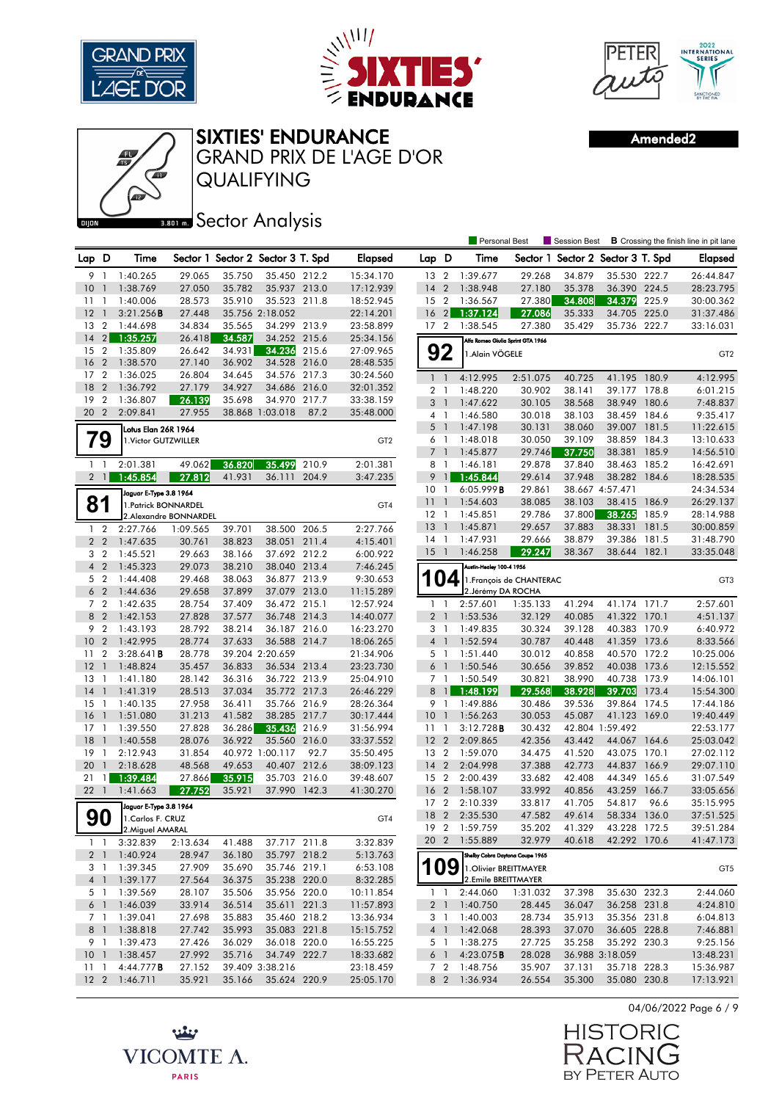





Amended2



**Bector Analysis** 

|                 |                                  |                        |                  |                  |                                   |       |                        |                 |                | <b>Personal Best</b>              |                          | Session Best                      |                  |       | <b>B</b> Crossing the finish line in pit lane |
|-----------------|----------------------------------|------------------------|------------------|------------------|-----------------------------------|-------|------------------------|-----------------|----------------|-----------------------------------|--------------------------|-----------------------------------|------------------|-------|-----------------------------------------------|
| Lap D           |                                  | Time                   |                  |                  | Sector 1 Sector 2 Sector 3 T. Spd |       | <b>Elapsed</b>         | Lap D           |                | Time                              |                          | Sector 1 Sector 2 Sector 3 T. Spd |                  |       | Elapsed                                       |
| 9               | -1                               | 1:40.265               | 29.065           | 35.750           | 35.450 212.2                      |       | 15:34.170              | 13              | $\overline{2}$ | 1:39.677                          | 29.268                   | 34.879                            | 35.530 222.7     |       | 26:44.847                                     |
| 10              | $\mathbf{1}$                     | 1:38.769               | 27.050           | 35.782           | 35.937 213.0                      |       | 17:12.939              | 14              | $\overline{2}$ | 1:38.948                          | 27.180                   | 35.378                            | 36.390 224.5     |       | 28:23.795                                     |
| 11              | -1                               | 1:40.006               | 28.573           | 35.910           | 35.523 211.8                      |       | 18:52.945              | 15              | $\overline{2}$ | 1:36.567                          | 27.380                   | 34.808                            | 34.379           | 225.9 | 30:00.362                                     |
| 12              | $\overline{1}$                   | 3:21.256B              | 27.448           |                  | 35.756 2:18.052                   |       | 22:14.201              | 16              | $\sqrt{2}$     | 1:37.124                          | 27.086                   | 35.333                            | 34.705           | 225.0 | 31:37.486                                     |
| 13              | $\overline{2}$                   | 1:44.698               | 34.834           | 35.565           | 34.299 213.9                      |       | 23:58.899              | 17 <sub>2</sub> |                | 1:38.545                          | 27.380                   | 35.429                            | 35.736 222.7     |       | 33:16.031                                     |
| 14              | 2                                | 1:35.257               | 26.418           | 34.587           | 34.252 215.6                      |       | 25:34.156              |                 |                | Alfa Romeo Giulia Sprint GTA 1966 |                          |                                   |                  |       |                                               |
| 15              | $\frac{2}{3}$                    | 1:35.809               | 26.642           | 34.931           | 34.236                            | 215.6 | 27:09.965              |                 | 92             | 1.Alain VÖGELE                    |                          |                                   |                  |       | GT <sub>2</sub>                               |
| 16              | $\overline{2}$                   | 1:38.570               | 27.140           | 36.902           | 34.528 216.0                      |       | 28:48.535              |                 |                |                                   |                          |                                   |                  |       |                                               |
| 17 <sup>2</sup> |                                  | 1:36.025               | 26.804           | 34.645           | 34.576 217.3                      |       | 30:24.560              | $\mathbf{1}$    | $\overline{1}$ | 4:12.995                          | 2:51.075                 | 40.725                            | 41.195           | 180.9 | 4:12.995                                      |
| 18              | $\overline{2}$                   | 1:36.792               | 27.179           | 34.927           | 34.686 216.0                      |       | 32:01.352              | 2 <sub>1</sub>  |                | 1:48.220                          | 30.902                   | 38.141                            | 39.177 178.8     |       | 6:01.215                                      |
| 19              | $\overline{2}$                   | 1:36.807               | 26.139           | 35.698           | 34.970                            | 217.7 | 33:38.159              | 3 <sup>1</sup>  |                | 1:47.622                          | 30.105                   | 38.568                            | 38.949           | 180.6 | 7:48.837                                      |
| 20 2            |                                  | 2:09.841               | 27.955           |                  | 38.868 1:03.018                   | 87.2  | 35:48.000              | 4 1             |                | 1:46.580                          | 30.018                   | 38.103                            | 38.459           | 184.6 | 9:35.417                                      |
|                 |                                  | Lotus Elan 26R 1964    |                  |                  |                                   |       |                        | 5               | $\overline{1}$ | 1:47.198                          | 30.131                   | 38.060                            | 39.007 181.5     |       | 11:22.615                                     |
|                 | 79                               | 1. Victor GUTZWILLER   |                  |                  |                                   |       | GT <sub>2</sub>        | 6 1             |                | 1:48.018                          | 30.050                   | 39.109                            | 38.859           | 184.3 | 13:10.633                                     |
|                 |                                  |                        |                  |                  |                                   |       |                        | $7-1$           |                | 1:45.877                          | 29.746                   | 37.750                            | 38.381           | 185.9 | 14:56.510                                     |
| $1\quad$        |                                  | 2:01.381               | 49.062           | 36.820           | 35.499                            | 210.9 | 2:01.381               | 8               | $\overline{1}$ | 1:46.181                          | 29.878                   | 37.840                            | 38.463           | 185.2 | 16:42.691                                     |
| $\overline{2}$  | $\overline{1}$                   | 1:45.854               | 27.812           | 41.931           | 36.111                            | 204.9 | 3:47.235               | 9               | $\mathbf{1}$   | 1:45.844                          | 29.614                   | 37.948                            | 38.282 184.6     |       | 18:28.535                                     |
|                 |                                  | Jaguar E-Type 3.8 1964 |                  |                  |                                   |       |                        | 10 <sup>°</sup> | $\overline{1}$ | 6:05.999B                         | 29.861                   |                                   | 38.667 4:57.471  |       | 24:34.534                                     |
| 81              |                                  | 1. Patrick BONNARDEL   |                  |                  |                                   |       | GT4                    | 11              | $\overline{1}$ | 1:54.603                          | 38.085                   | 38.103                            | 38.415           | 186.9 | 26:29.137                                     |
|                 |                                  | 2.Alexandre BONNARDEL  |                  |                  |                                   |       |                        | $12-1$          |                | 1:45.851                          | 29.786                   | 37.800                            | 38.265           | 185.9 | 28:14.988                                     |
| $\mathbf{1}$    | $\overline{2}$                   | 2:27.766               | 1:09.565         | 39.701           | 38.500 206.5                      |       | 2:27.766               | 13              | $\overline{1}$ | 1:45.871                          | 29.657                   | 37.883                            | 38.331           | 181.5 | 30:00.859                                     |
|                 | 2 <sub>2</sub>                   | 1:47.635               | 30.761           | 38.823           | 38.051 211.4                      |       | 4:15.401               | 14              | $\overline{1}$ | 1:47.931                          | 29.666                   | 38.879                            | 39.386           | 181.5 | 31:48.790                                     |
|                 | 3 <sub>2</sub>                   | 1:45.521               | 29.663           | 38.166           | 37.692 212.2                      |       | 6:00.922               | 15 <sup>5</sup> | $\overline{1}$ | 1:46.258                          | 29.247                   | 38.367                            | 38.644           | 182.1 | 33:35.048                                     |
| 4 <sup>2</sup>  |                                  | 1:45.323               | 29.073           | 38.210           | 38.040 213.4                      |       | 7:46.245               |                 |                | Austin-Healey 100-4 1956          |                          |                                   |                  |       |                                               |
| 5 <sub>2</sub>  |                                  | 1:44.408               | 29.468           | 38.063           | 36.877 213.9                      |       | 9:30.653               |                 | 04             |                                   | 1. François de CHANTERAC |                                   |                  |       | GT <sub>3</sub>                               |
| 6 <sub>2</sub>  |                                  | 1:44.636               | 29.658           | 37.899           | 37.079 213.0                      |       | 11:15.289              |                 |                | 2. Jérémy DA ROCHA                |                          |                                   |                  |       |                                               |
| 7 <sup>2</sup>  |                                  | 1:42.635               | 28.754           | 37.409           | 36.472 215.1                      |       | 12:57.924              | 1               | $\overline{1}$ | 2:57.601                          | 1:35.133                 | 41.294                            | 41.174           | 171.7 | 2:57.601                                      |
| 8               | $\overline{2}$                   | 1:42.153               | 27.828           | 37.577           | 36.748 214.3                      |       | 14:40.077              | $\overline{2}$  | $\overline{1}$ | 1:53.536                          | 32.129                   | 40.085                            | 41.322 170.1     |       | 4:51.137                                      |
| 9               | $\overline{2}$                   | 1:43.193               | 28.792           | 38.214           | 36.187 216.0                      |       | 16:23.270              | 3               | $\overline{1}$ | 1:49.835                          | 30.324                   | 39.128                            | 40.383           | 170.9 | 6:40.972                                      |
| 10 <sub>2</sub> |                                  | 1:42.995               | 28.774           | 37.633           | 36.588 214.7                      |       | 18:06.265              | 4 <sup>1</sup>  |                | 1:52.594                          | 30.787                   | 40.448                            | 41.359 173.6     |       | 8:33.566                                      |
| 11<br>12        | $\overline{2}$<br>$\overline{1}$ | 3:28.641B              | 28.778           |                  | 39.204 2:20.659                   |       | 21:34.906              | 5 1<br>$6-1$    |                | 1:51.440                          | 30.012                   | 40.858<br>39.852                  | 40.570 172.2     | 173.6 | 10:25.006                                     |
| 13              | -1                               | 1:48.824<br>1:41.180   | 35.457<br>28.142 | 36.833<br>36.316 | 36.534 213.4<br>36.722 213.9      |       | 23:23.730<br>25:04.910 | 7 <sup>1</sup>  |                | 1:50.546<br>1:50.549              | 30.656<br>30.821         | 38.990                            | 40.038<br>40.738 | 173.9 | 12:15.552<br>14:06.101                        |
| 14              | $\overline{1}$                   | 1:41.319               | 28.513           | 37.034           | 35.772 217.3                      |       | 26:46.229              | 8               | $\overline{1}$ | 1:48.199                          | 29.568                   | 38.928                            | 39.703           | 173.4 | 15:54.300                                     |
| 15              | $\overline{1}$                   | 1:40.135               | 27.958           | 36.411           | 35.766 216.9                      |       | 28:26.364              | 9 1             |                | 1:49.886                          | 30.486                   | 39.536                            | 39.864 174.5     |       | 17:44.186                                     |
| 16              | $\overline{1}$                   | 1:51.080               | 31.213           | 41.582           | 38.285 217.7                      |       | 30:17.444              | 10 <sub>1</sub> |                | 1:56.263                          | 30.053                   | 45.087                            | 41.123 169.0     |       | 19:40.449                                     |
| 17              | $\overline{1}$                   | 1:39.550               | 27.828           | 36.286           | 35.436                            | 216.9 | 31:56.994              | 11              | $\overline{1}$ | 3:12.728B                         | 30.432                   |                                   | 42.804 1:59.492  |       | 22:53.177                                     |
| 18              | $\mathbf{1}$                     | 1:40.558               | 28.076           | 36.922           | 35.560 216.0                      |       | 33:37.552              | 12 <sup>2</sup> |                | 2:09.865                          | 42.356                   | 43.442                            | 44.067           | 164.6 | 25:03.042                                     |
| 19              | $\mathbf{1}$                     | 2:12.943               | 31.854           |                  | 40.972 1:00.117                   | 92.7  | 35:50.495              | 13              | $\overline{2}$ | 1:59.070                          | 34.475                   | 41.520                            | 43.075           | 170.1 | 27:02.112                                     |
| 20              | $\mathbf{1}$                     | 2:18.628               | 48.568           | 49.653           | 40.407 212.6                      |       | 38:09.123              | 14              | $\overline{2}$ | 2:04.998                          | 37.388                   | 42.773                            | 44.837           | 166.9 | 29:07.110                                     |
| 21              | $\mathbf{1}$                     | 1:39.484               | 27.866           | 35.915           | 35.703                            | 216.0 | 39:48.607              | 15 <sup>2</sup> |                | 2:00.439                          | 33.682                   | 42.408                            | 44.349           | 165.6 | 31:07.549                                     |
| 221             |                                  | 1:41.663               | 27.752           | 35.921           | 37.990 142.3                      |       | 41:30.270              | 16              | $\overline{2}$ | 1:58.107                          | 33.992                   | 40.856                            | 43.259           | 166.7 | 33:05.656                                     |
|                 |                                  | Jaguar E-Type 3.8 1964 |                  |                  |                                   |       |                        | 17              | $\overline{2}$ | 2:10.339                          | 33.817                   | 41.705                            | 54.817           | 96.6  | 35:15.995                                     |
|                 | 90                               | 1. Carlos F. CRUZ      |                  |                  |                                   |       | GT4                    | 18 2            |                | 2:35.530                          | 47.582                   | 49.614                            | 58.334           | 136.0 | 37:51.525                                     |
|                 |                                  | 2.Miguel AMARAL        |                  |                  |                                   |       |                        | 192             |                | 1:59.759                          | 35.202                   | 41.329                            | 43.228 172.5     |       | 39:51.284                                     |
|                 | $1\quad$                         | 3:32.839               | 2:13.634         | 41.488           | 37.717 211.8                      |       | 3:32.839               |                 |                | 20 2 1:55.889                     | 32.979                   | 40.618                            | 42.292 170.6     |       | 41:47.173                                     |
|                 | 2 <sup>1</sup>                   | 1:40.924               | 28.947           | 36.180           | 35.797 218.2                      |       | 5:13.763               |                 |                | Shelby Cobra Daytona Coupe 1965   |                          |                                   |                  |       |                                               |
| 3 1             |                                  | 1:39.345               | 27.909           | 35.690           | 35.746 219.1                      |       | 6:53.108               | 109             |                | 1. Olivier BREITTMAYER            |                          |                                   |                  |       | GT <sub>5</sub>                               |
| $4-1$           |                                  | 1:39.177               | 27.564           | 36.375           | 35.238 220.0                      |       | 8:32.285               |                 |                | 2.Emile BREITTMAYER               |                          |                                   |                  |       |                                               |
|                 | 5 1                              | 1:39.569               | 28.107           | 35.506           | 35.956 220.0                      |       | 10:11.854              |                 | $1\quad1$      | 2:44.060                          | 1:31.032                 | 37.398                            | 35.630 232.3     |       | 2:44.060                                      |
| $6-1$           |                                  | 1:46.039               | 33.914           | 36.514           | 35.611 221.3                      |       | 11:57.893              | 2 <sub>1</sub>  |                | 1:40.750                          | 28.445                   | 36.047                            | 36.258 231.8     |       | 4:24.810                                      |
| 7 1             |                                  | 1:39.041               | 27.698           | 35.883           | 35.460 218.2                      |       | 13:36.934              | 3 1             |                | 1:40.003                          | 28.734                   | 35.913                            | 35.356 231.8     |       | 6:04.813                                      |
|                 | 8 1                              | 1:38.818               | 27.742           | 35.993           | 35.083 221.8                      |       | 15:15.752              | 4 <sup>1</sup>  |                | 1:42.068                          | 28.393                   | 37.070                            | 36.605 228.8     |       | 7:46.881                                      |
|                 | 9 1                              | 1:39.473               | 27.426           | 36.029           | 36.018 220.0                      |       | 16:55.225              | 5 1             |                | 1:38.275                          | 27.725                   | 35.258                            | 35.292 230.3     |       | 9:25.156                                      |
| 10 <sub>1</sub> |                                  | 1:38.457               | 27.992           | 35.716           | 34.749 222.7                      |       | 18:33.682              |                 | 6 1            | 4:23.075B                         | 28.028                   |                                   | 36.988 3:18.059  |       | 13:48.231                                     |
| $11-1$          |                                  | 4:44.777B              | 27.152           |                  | 39.409 3:38.216                   |       | 23:18.459              |                 | 7 <sup>2</sup> | 1:48.756                          | 35.907                   | 37.131                            | 35.718 228.3     |       | 15:36.987                                     |
| 12 <sub>2</sub> |                                  | 1:46.711               | 35.921           | 35.166           | 35.624 220.9                      |       | 25:05.170              |                 |                | 8 2 1:36.934                      | 26.554                   | 35.300                            | 35.080 230.8     |       | 17:13.921                                     |



**HISTORIC** RACIN ュ BY PETER AUTO

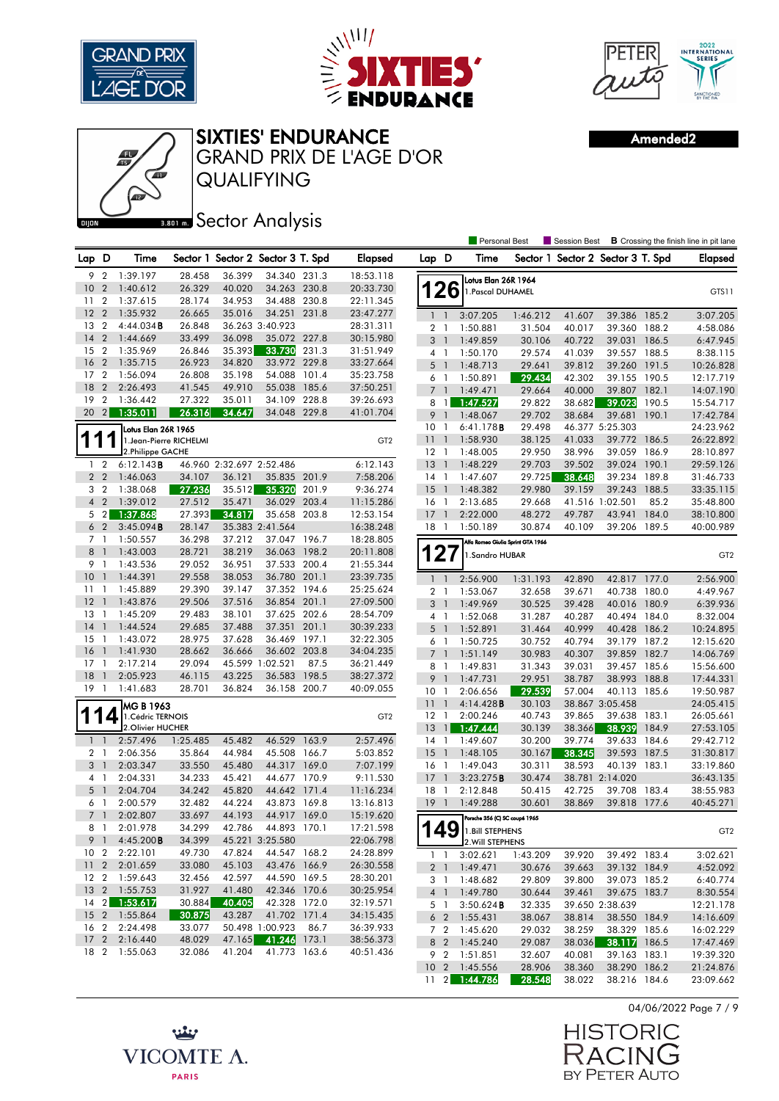

卿





SIXTIES' ENDURANCE

QUALIFYING

**Ban B** Sector Analysis

GRAND PRIX DE L'AGE D'OR

Amended2

|                       |                              |                         |                  |                          |                                   |       |                       |                                  |                          | Personal Best                     |                  |                                   |                                 |       | Session Best <b>B</b> Crossing the finish line in pit lane |
|-----------------------|------------------------------|-------------------------|------------------|--------------------------|-----------------------------------|-------|-----------------------|----------------------------------|--------------------------|-----------------------------------|------------------|-----------------------------------|---------------------------------|-------|------------------------------------------------------------|
| Lap D                 |                              | Time                    |                  |                          | Sector 1 Sector 2 Sector 3 T. Spd |       | <b>Elapsed</b>        | Lap D                            |                          | Time                              |                  | Sector 1 Sector 2 Sector 3 T. Spd |                                 |       | Elapsed                                                    |
| 9 2                   |                              | 1:39.197                | 28.458           | 36.399                   | 34.340 231.3                      |       | 18:53.118             |                                  |                          | Lotus Elan 26R 1964               |                  |                                   |                                 |       |                                                            |
| 10                    | $\overline{2}$               | 1:40.612                | 26.329           | 40.020                   | 34.263 230.8                      |       | 20:33.730             | 126                              |                          | 1. Pascal DUHAMEL                 |                  |                                   |                                 |       | GTS11                                                      |
| 11                    | $\overline{2}$               | 1:37.615                | 28.174           | 34.953                   | 34.488 230.8                      |       | 22:11.345             |                                  |                          |                                   |                  |                                   |                                 |       |                                                            |
| 12                    | $\overline{2}$               | 1:35.932                | 26.665           | 35.016                   | 34.251                            | 231.8 | 23:47.277             | $1\quad1$                        |                          | 3:07.205                          | 1:46.212         | 41.607                            | 39.386 185.2                    |       | 3:07.205                                                   |
| 13 2                  |                              | 4:44.034B               | 26.848           |                          | 36.263 3:40.923                   |       | 28:31.311             | 2 <sub>1</sub>                   |                          | 1:50.881                          | 31.504           | 40.017                            | 39.360 188.2                    |       | 4:58.086                                                   |
| 14                    | $\overline{2}$               | 1:44.669                | 33.499           | 36.098                   | 35.072 227.8                      |       | 30:15.980             | 3 <sup>1</sup>                   |                          | 1:49.859                          | 30.106           | 40.722                            | 39.031                          | 186.5 | 6:47.945                                                   |
| 15 2                  |                              | 1:35.969                | 26.846           | 35.393                   | 33.730                            | 231.3 | 31:51.949             | $4-1$                            |                          | 1:50.170                          | 29.574           | 41.039                            | 39.557                          | 188.5 | 8:38.115                                                   |
| 16                    | $\overline{2}$               | 1:35.715                | 26.923           | 34.820                   | 33.972 229.8                      |       | 33:27.664             | 5 <sub>1</sub>                   |                          | 1:48.713                          | 29.641           | 39.812                            | 39.260                          | 191.5 | 10:26.828                                                  |
| 17 <sub>2</sub>       |                              | 1:56.094                | 26.808           | 35.198                   | 54.088 101.4                      |       | 35:23.758             | 6 1                              |                          | 1:50.891                          | 29.434           | 42.302                            | 39.155                          | 190.5 | 12:17.719                                                  |
| 18                    | $\overline{2}$               | 2:26.493                | 41.545           | 49.910                   | 55.038 185.6                      |       | 37:50.251             | 7 <sup>1</sup>                   |                          | 1:49.471                          | 29.664           | 40.000                            | 39.807 182.1                    |       | 14:07.190                                                  |
| 19                    | $\overline{2}$               | 1:36.442                | 27.322           | 35.011                   | 34.109 228.8                      |       | 39:26.693             | 8                                | $\overline{1}$           | 1:47.527                          | 29.822           | 38.682                            | 39.023                          | 190.5 | 15:54.717                                                  |
| 20                    | $\left  \frac{2}{2} \right $ | 1:35.011                | 26.316           | 34.647                   | 34.048 229.8                      |       | 41:01.704             | 9 <sub>1</sub>                   |                          | 1:48.067                          | 29.702           | 38.684                            | 39.681                          | 190.1 | 17:42.784                                                  |
|                       |                              | Lotus Elan 26R 1965     |                  |                          |                                   |       |                       | 10 <sub>1</sub>                  |                          | 6:41.178 <b>B</b>                 | 29.498           |                                   | 46.377 5:25.303                 |       | 24:23.962                                                  |
| 1                     |                              | 1. Jean-Pierre RICHELMI |                  |                          |                                   |       | GT <sub>2</sub>       | 11                               | $\mathbf{1}$             | 1:58.930                          | 38.125           | 41.033                            | 39.772 186.5                    |       | 26:22.892                                                  |
|                       |                              | 2.Philippe GACHE        |                  |                          |                                   |       |                       | 12                               | $\overline{1}$           | 1:48.005                          | 29.950           | 38.996                            | 39.059                          | 186.9 | 28:10.897                                                  |
| $1\quad 2$            |                              | 6:12.143B               |                  | 46.960 2:32.697 2:52.486 |                                   |       | 6:12.143              | 13                               | $\overline{1}$           | 1:48.229                          | 29.703           | 39.502                            | 39.024                          | 190.1 | 29:59.126                                                  |
| 2 <sub>2</sub>        |                              | 1:46.063                | 34.107           | 36.121                   | 35.835                            | 201.9 | 7:58.206              | $14-1$                           |                          | 1:47.607                          | 29.725           | 38.648                            | 39.234                          | 189.8 | 31:46.733                                                  |
| 3 <sub>2</sub>        |                              | 1:38.068                | 27.236           | 35.512                   | 35.320                            | 201.9 | 9:36.274              | $15-1$                           |                          | 1:48.382                          | 29.980           | 39.159                            | 39.243                          | 188.5 | 33:35.115                                                  |
| 4 <sup>2</sup>        |                              | 1:39.012                | 27.512           | 35.471                   | 36.029                            | 203.4 | 11:15.286             | 16 <sub>1</sub>                  |                          | 2:13.685                          | 29.668           |                                   | 41.516 1:02.501                 | 85.2  | 35:48.800                                                  |
|                       | 5 <sub>2</sub>               | 1:37.868                | 27.393           | 34.817                   | 35.658 203.8                      |       | 12:53.154             | 17                               | $\mathbf{1}$             | 2:22.000                          | 48.272           | 49.787                            | 43.941                          | 184.0 | 38:10.800                                                  |
|                       | 6 <sub>2</sub>               | 3:45.094B               | 28.147           |                          | 35.383 2:41.564                   |       | 16:38.248             | 18                               | $\overline{1}$           | 1:50.189                          | 30.874           | 40.109                            | 39.206 189.5                    |       | 40:00.989                                                  |
| 7 <sup>1</sup>        |                              | 1:50.557                | 36.298           | 37.212                   | 37.047 196.7                      |       | 18:28.805             |                                  |                          | Alfa Romeo Giulia Sprint GTA 1966 |                  |                                   |                                 |       |                                                            |
| 8                     | $\overline{1}$               | 1:43.003                | 28.721           | 38.219                   | 36.063 198.2                      |       | 20:11.808             | 127                              |                          | 1.Sandro HUBAR                    |                  |                                   |                                 |       | GT <sub>2</sub>                                            |
| 9 1                   |                              | 1:43.536                | 29.052           | 36.951                   | 37.533 200.4                      |       | 21:55.344             |                                  |                          |                                   |                  |                                   |                                 |       |                                                            |
| 10 <sup>°</sup>       | $\overline{1}$               | 1:44.391                | 29.558           | 38.053                   | 36.780 201.1                      |       | 23:39.735             | $1\quad$                         |                          | 2:56.900                          | 1:31.193         | 42.890                            | 42.817 177.0                    |       | 2:56.900                                                   |
| $11-1$                |                              | 1:45.889                | 29.390           | 39.147                   | 37.352 194.6                      |       | 25:25.624             | 2 <sub>1</sub>                   |                          | 1:53.067                          | 32.658           | 39.671                            | 40.738 180.0                    |       | 4:49.967                                                   |
| $12-1$                |                              | 1:43.876                | 29.506           | 37.516                   | 36.854 201.1                      |       | 27:09.500             | 3 <sup>1</sup>                   |                          | 1:49.969                          | 30.525           | 39.428                            | 40.016                          | 180.9 | 6:39.936                                                   |
| 13                    | $\overline{1}$               | 1:45.209                | 29.483           | 38.101                   | 37.625 202.6                      |       | 28:54.709             | 4 1                              |                          | 1:52.068                          | 31.287           | 40.287                            | 40.494 184.0                    |       | 8:32.004                                                   |
| 14                    | $\overline{1}$               | 1:44.524                | 29.685           | 37.488                   | 37.351                            | 201.1 | 30:39.233             | 5                                | $\overline{\phantom{0}}$ | 1:52.891                          | 31.464           | 40.999                            | 40.428                          | 186.2 | 10:24.895                                                  |
| $15-1$                | $\overline{1}$               | 1:43.072                | 28.975           | 37.628                   | 36.469 197.1                      |       | 32:22.305             | 6                                | -1                       | 1:50.725                          | 30.752           | 40.794                            | 39.179                          | 187.2 | 12:15.620                                                  |
| 16<br>17              | $\overline{1}$               | 1:41.930                | 28.662<br>29.094 | 36.666                   | 36.602 203.8                      |       | 34:04.235             | 7 <sup>1</sup>                   |                          | 1:51.149                          | 30.983           | 40.307                            | 39.859                          | 182.7 | 14:06.769                                                  |
| 18                    | $\overline{1}$               | 2:17.214<br>2:05.923    | 46.115           | 43.225                   | 45.599 1:02.521<br>36.583 198.5   | 87.5  | 36:21.449             | 8                                | $\mathbf{1}$             | 1:49.831                          | 31.343           | 39.031                            | 39.457 185.6                    |       | 15:56.600                                                  |
| 19                    | $\overline{1}$               |                         |                  |                          |                                   |       | 38:27.372             | 9                                | $\overline{1}$           | 1:47.731                          | 29.951           | 38.787                            | 38.993 188.8                    |       | 17:44.331                                                  |
|                       |                              | 1:41.683                | 28.701           | 36.824                   | 36.158 200.7                      |       | 40:09.055             | 10 <sub>1</sub>                  |                          | 2:06.656                          | 29.539           | 57.004                            | 40.113 185.6                    |       | 19:50.987                                                  |
|                       |                              | MG B 1963               |                  |                          |                                   |       |                       | 11                               | $\mathbf{1}$             | 4:14.428B                         | 30.103           |                                   | 38.867 3:05.458                 |       | 24:05.415                                                  |
|                       | $\epsilon$                   | 1. Cédric TERNOIS       |                  |                          |                                   |       | GT <sub>2</sub>       | 12                               | $\overline{1}$           | 2:00.246                          | 40.743           | 39.865                            | 39.638 183.1                    |       | 26:05.661                                                  |
|                       |                              | 2. Olivier HUCHER       |                  |                          |                                   |       |                       | 13                               | $\mathbf{1}$             | 1:47.444                          | 30.139           | 38.366                            | 38.939                          | 184.9 | 27:53.105                                                  |
| $1\quad$              |                              | 2:57.496                | 1:25.485         | 45.482                   | 46.529 163.9                      |       | 2:57.496              | $14-1$                           |                          | 1:49.607                          | 30.200           | 39.774                            | 39.633 184.6                    |       | 29:42.712                                                  |
| 2 1                   |                              | 2:06.356                | 35.864           | 44.984                   | 45.508 166.7                      |       | 5:03.852              | 15                               | $\overline{1}$           | 1:48.105                          | 30.167           | 38.345                            | 39.593 187.5                    |       | 31:30.817                                                  |
| 3 <sub>1</sub>        |                              | 2:03.347                | 33.550<br>34.233 | 45.480                   | 44.317 169.0                      |       | 7:07.199              | $16-1$<br>$17-1$                 |                          | 1:49.043<br>3:23.275B             | 30.311           | 38.593                            | 40.139 183.1<br>38.781 2:14.020 |       | 33:19.860<br>36:43.135                                     |
| 4 1<br>5 <sub>1</sub> |                              | 2:04.331<br>2:04.704    | 34.242           | 45.421<br>45.820         | 44.677 170.9<br>44.642 171.4      |       | 9:11.530<br>11:16.234 | 18                               | $\mathbf{1}$             | 2:12.848                          | 30.474<br>50.415 | 42.725                            | 39.708                          | 183.4 | 38:55.983                                                  |
| 6 1                   |                              | 2:00.579                | 32.482           | 44.224                   | 43.873 169.8                      |       | 13:16.813             | 19                               | $\overline{1}$           | 1:49.288                          | 30.601           | 38.869                            | 39.818 177.6                    |       | 40:45.271                                                  |
| 7 <sub>1</sub>        |                              | 2:02.807                | 33.697           | 44.193                   | 44.917 169.0                      |       | 15:19.620             |                                  |                          |                                   |                  |                                   |                                 |       |                                                            |
|                       | 81                           | 2:01.978                | 34.299           | 42.786                   | 44.893 170.1                      |       | 17:21.598             |                                  |                          | Porsche 356 (C) SC coupé 1965     |                  |                                   |                                 |       |                                                            |
|                       | 9 <sub>1</sub>               | 4:45.200B               | 34.399           |                          | 45.221 3:25.580                   |       | 22:06.798             |                                  |                          | $149$ 1. Bill STEPHENS            |                  |                                   |                                 |       | GT <sub>2</sub>                                            |
| 10 <sub>2</sub>       |                              | 2:22.101                | 49.730           | 47.824                   | 44.547 168.2                      |       | 24:28.899             |                                  |                          | 2. Will STEPHENS                  |                  |                                   |                                 |       |                                                            |
|                       |                              | 11 2 2:01.659           | 33.080           | 45.103                   | 43.476 166.9                      |       | 26:30.558             | $1\quad$                         |                          | 3:02.621                          | 1:43.209         | 39.920                            | 39.492 183.4                    |       | 3:02.621                                                   |
| 12 <sub>2</sub>       |                              | 1:59.643                | 32.456           | 42.597                   | 44.590 169.5                      |       | 28:30.201             | 2 <sub>1</sub>                   |                          | 1:49.471                          | 30.676           | 39.663                            | 39.132 184.9<br>39.073 185.2    |       | 4:52.092                                                   |
|                       |                              | 13 2 1:55.753           | 31.927           | 41.480                   | 42.346 170.6                      |       | 30:25.954             | $3-1$                            |                          | 1:48.682<br>1:49.780              | 29.809           | 39.800                            | 39.675 183.7                    |       | 6:40.774<br>8:30.554                                       |
| $14 \quad 2$          |                              | 1:53.617                | 30.884           | 40.405                   | 42.328 172.0                      |       | 32:19.571             | 4 <sup>1</sup><br>5 <sub>1</sub> |                          | 3:50.624B                         | 30.644<br>32.335 | 39.461                            | 39.650 2:38.639                 |       | 12:21.178                                                  |
|                       |                              | 15 2 1:55.864           | 30.875           | 43.287                   | 41.702 171.4                      |       | 34:15.435             | 6 <sub>2</sub>                   |                          | 1:55.431                          | 38.067           | 38.814                            | 38.550 184.9                    |       | 14:16.609                                                  |
| 16 <sub>2</sub>       |                              | 2:24.498                | 33.077           |                          | 50.498 1:00.923                   | 86.7  | 36:39.933             | 7 <sub>2</sub>                   |                          | 1:45.620                          | 29.032           | 38.259                            | 38.329 185.6                    |       | 16:02.229                                                  |
|                       |                              | 17 2 2:16.440           | 48.029           | 47.165                   | 41.246 173.1                      |       | 38:56.373             | 8 2                              |                          | 1:45.240                          | 29.087           | 38.036                            | 38.117 186.5                    |       | 17:47.469                                                  |
| 18 2                  |                              | 1:55.063                | 32.086           | 41.204                   | 41.773 163.6                      |       | 40:51.436             | 9 2                              |                          | 1:51.851                          | 32.607           | 40.081                            | 39.163 183.1                    |       | 19:39.320                                                  |
|                       |                              |                         |                  |                          |                                   |       |                       |                                  |                          | 10 2 1:45.556                     | 28.906           | 38.360                            | 38.290 186.2                    |       | 21:24.876                                                  |
|                       |                              |                         |                  |                          |                                   |       |                       |                                  |                          |                                   |                  |                                   |                                 |       |                                                            |

04/06/2022 Page 7 / 9

**HISTORIC** RACIN .<br>ت BY PETER AUTO

11 2 1:44.786 28.548 38.022 38.216 184.6 23:09.662

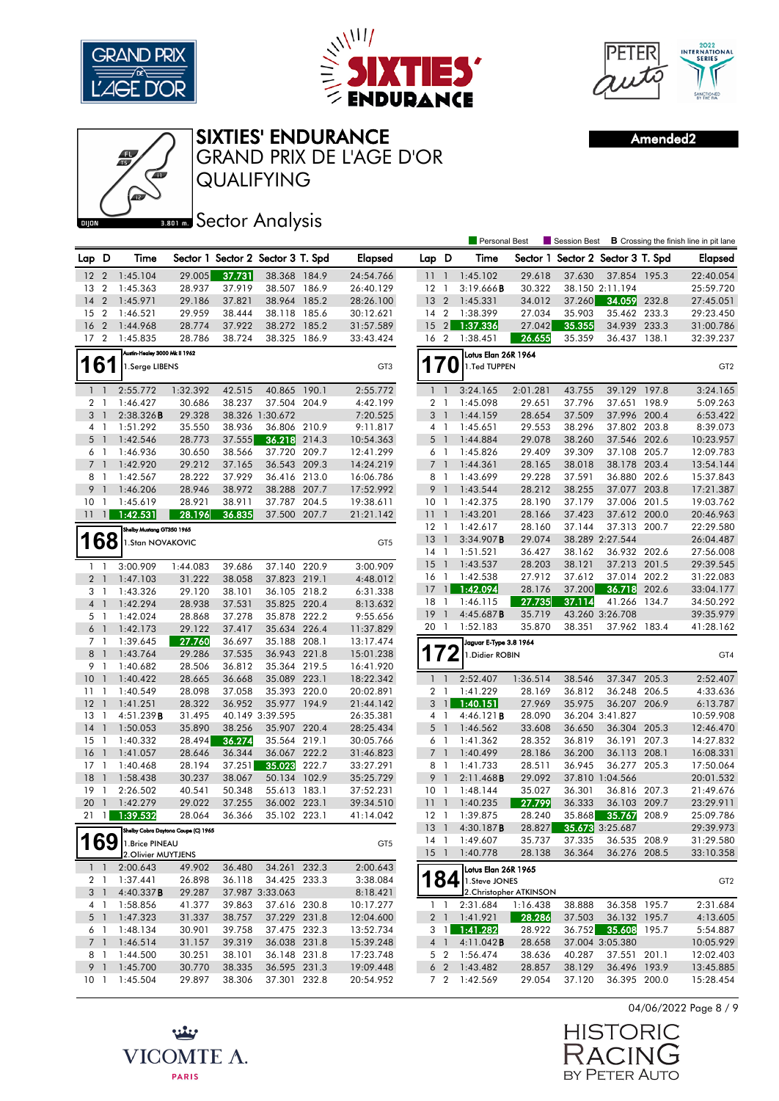





Amended2



**Bector Analysis** 

|                 |                |                                        |                  |                  |                                   |       |                        |                            |                          | Personal Best                               |                         | Session Best                      |                                 |       | <b>B</b> Crossing the finish line in pit lane |
|-----------------|----------------|----------------------------------------|------------------|------------------|-----------------------------------|-------|------------------------|----------------------------|--------------------------|---------------------------------------------|-------------------------|-----------------------------------|---------------------------------|-------|-----------------------------------------------|
| Lap D           |                | Time                                   |                  |                  | Sector 1 Sector 2 Sector 3 T. Spd |       | <b>Elapsed</b>         | Lap D                      |                          | Time                                        |                         | Sector 1 Sector 2 Sector 3 T. Spd |                                 |       | <b>Elapsed</b>                                |
| 12 <sub>2</sub> |                | 1:45.104                               | 29.005           | 37.731           | 38.368 184.9                      |       | 24:54.766              | $11-1$                     |                          | 1:45.102                                    | 29.618                  | 37.630                            | 37.854 195.3                    |       | 22:40.054                                     |
| 13 2            |                | 1:45.363                               | 28.937           | 37.919           | 38.507 186.9                      |       | 26:40.129              | $12-1$                     |                          | 3:19.666B                                   | 30.322                  |                                   | 38.150 2:11.194                 |       | 25:59.720                                     |
| $14 \quad 2$    |                | 1:45.971                               | 29.186           | 37.821           | 38.964 185.2                      |       | 28:26.100              | $13 \quad 2$               |                          | 1:45.331                                    | 34.012                  | 37.260                            | 34.059 232.8                    |       | 27:45.051                                     |
| 15              | $\overline{2}$ | 1:46.521                               | 29.959           | 38.444           | 38.118 185.6                      |       | 30:12.621              | 14 <sup>2</sup>            |                          | 1:38.399                                    | 27.034                  | 35.903                            | 35.462 233.3                    |       | 29:23.450                                     |
| 16 <sub>2</sub> |                | 1:44.968                               | 28.774           | 37.922           | 38.272 185.2                      |       | 31:57.589              | $15 \quad 2$               |                          | 1:37.336                                    | 27.042                  | 35.355                            | 34.939 233.3                    |       | 31:00.786                                     |
| 17 <sub>2</sub> |                | 1:45.835                               | 28.786           | 38.724           | 38.325 186.9                      |       | 33:43.424              | 16 <sub>2</sub>            |                          | 1:38.451                                    | 26.655                  | 35.359                            | 36.437 138.1                    |       | 32:39.237                                     |
|                 |                | Austin-Healey 3000 Mk II 1962          |                  |                  |                                   |       |                        |                            |                          | Lotus Elan 26R 1964                         |                         |                                   |                                 |       |                                               |
| 161             |                | 1.Serge LIBENS                         |                  |                  |                                   |       | GT3                    | <b>170</b>                 |                          | 1.Ted TUPPEN                                |                         |                                   |                                 |       | GT <sub>2</sub>                               |
| $1\quad$        |                | 2:55.772                               | 1:32.392         | 42.515           | 40.865 190.1                      |       | 2:55.772               | $1\quad$                   |                          | 3:24.165                                    | 2:01.281                | 43.755                            | 39.129 197.8                    |       | 3:24.165                                      |
| 2 <sub>1</sub>  |                | 1:46.427                               | 30.686           | 38.237           | 37.504 204.9                      |       | 4:42.199               | $\overline{2}$             | $\mathbf{1}$             | 1:45.098                                    | 29.651                  | 37.796                            | 37.651                          | 198.9 | 5:09.263                                      |
| 3 <sup>1</sup>  |                | 2:38.326B                              | 29.328           |                  | 38.326 1:30.672                   |       | 7:20.525               | 3 <sup>1</sup>             |                          | 1:44.159                                    | 28.654                  | 37.509                            | 37.996 200.4                    |       | 6:53.422                                      |
| 4 1             |                | 1:51.292                               | 35.550           | 38.936           | 36.806 210.9                      |       | 9:11.817               | $4-1$                      |                          | 1:45.651                                    | 29.553                  | 38.296                            | 37.802 203.8                    |       | 8:39.073                                      |
| 5 <sub>1</sub>  |                | 1:42.546                               | 28.773           | 37.555           | 36.218 214.3                      |       | 10:54.363              | 5 <sub>1</sub>             |                          | 1:44.884                                    | 29.078                  | 38.260                            | 37.546 202.6                    |       | 10:23.957                                     |
|                 | 6 1            | 1:46.936                               | 30.650           | 38.566           | 37.720 209.7                      |       | 12:41.299              | 6 1                        |                          | 1:45.826                                    | 29.409                  | 39.309                            | 37.108 205.7                    |       | 12:09.783                                     |
| 7 <sub>1</sub>  |                | 1:42.920                               | 29.212           | 37.165           | 36.543 209.3                      |       | 14:24.219              | 7 <sup>1</sup>             |                          | 1:44.361                                    | 28.165                  | 38.018                            | 38.178 203.4                    |       | 13:54.144                                     |
|                 | 8 1            | 1:42.567                               | 28.222           | 37.929           | 36.416 213.0                      |       | 16:06.786              | $8-1$                      |                          | 1:43.699                                    | 29.228                  | 37.591                            | 36.880 202.6                    |       | 15:37.843                                     |
|                 | 9 <sub>1</sub> | 1:46.206                               | 28.946           | 38.972           | 38.288 207.7                      |       | 17:52.992              | 9 <sub>1</sub>             |                          | 1:43.544                                    | 28.212                  | 38.255                            | 37.077 203.8                    |       | 17:21.387                                     |
| 10 <sub>1</sub> |                | 1:45.619                               | 28.921           | 38.911           | 37.787 204.5                      |       | 19:38.611              | 10 <sub>1</sub>            |                          | 1:42.375                                    | 28.190                  | 37.179                            | 37.006 201.5                    |       | 19:03.762                                     |
| $11 \quad 1$    |                | 1:42.531                               | 28.196           | 36.835           | 37.500 207.7                      |       | 21:21.142              | 111                        |                          | 1:43.201                                    | 28.166                  | 37.423                            | 37.612 200.0                    |       | 20:46.963                                     |
|                 |                | Shelby Mustang GT350 1965              |                  |                  |                                   |       |                        | $12-1$                     |                          | 1:42.617                                    | 28.160                  | 37.144                            | 37.313 200.7                    |       | 22:29.580                                     |
|                 | 168            | 1.Stan NOVAKOVIC                       |                  |                  |                                   |       | GT5                    | 13                         | $\overline{1}$           | 3:34.907B                                   | 29.074                  |                                   | 38.289 2:27.544                 |       | 26:04.487                                     |
|                 |                |                                        |                  |                  |                                   |       |                        | $14-1$                     |                          | 1:51.521                                    | 36.427                  | 38.162                            | 36.932 202.6                    |       | 27:56.008                                     |
| $\mathbf{1}$    | $\overline{1}$ | 3:00.909                               | 1:44.083         | 39.686           | 37.140 220.9                      |       | 3:00.909               | 15                         | $\overline{1}$           | 1:43.537                                    | 28.203                  | 38.121                            | 37.213 201.5                    |       | 29:39.545                                     |
| 2 <sub>1</sub>  |                | 1:47.103                               | 31.222           | 38.058           | 37.823 219.1                      |       | 4:48.012               | 16 <sub>1</sub>            |                          | 1:42.538                                    | 27.912                  | 37.612                            | 37.014 202.2                    |       | 31:22.083                                     |
| 3 <sub>1</sub>  |                | 1:43.326                               | 29.120           | 38.101           | 36.105 218.2                      |       | 6:31.338               | $17 \quad 1$               |                          | 1:42.094                                    | 28.176                  | 37.200                            | 36.718 202.6<br>41.266 134.7    |       | 33:04.177                                     |
| $4-1$           |                | 1:42.294                               | 28.938           | 37.531           | 35.825 220.4                      |       | 8:13.632               | 18 1                       |                          | 1:46.115<br>4:45.687B                       | 27.735                  | 37.114                            | 43.260 3:26.708                 |       | 34:50.292<br>39:35.979                        |
|                 | 5 1            | 1:42.024                               | 28.868           | 37.278           | 35.878 222.2                      |       | 9:55.656               | $19-1$<br>20 1             |                          | 1:52.183                                    | 35.719<br>35.870        | 38.351                            | 37.962 183.4                    |       | 41:28.162                                     |
| $6-1$           |                | 1:42.173                               | 29.122           | 37.417           | 35.634 226.4                      |       | 11:37.829              |                            |                          |                                             |                         |                                   |                                 |       |                                               |
|                 | 7 1            | 1:39.645                               | 27.760           | 36.697           | 35.188 208.1                      |       | 13:17.474              |                            |                          | Jaguar E-Type 3.8 1964                      |                         |                                   |                                 |       |                                               |
| 8 <sup>1</sup>  |                | 1:43.764                               | 29.286           | 37.535           | 36.943 221.8                      |       | 15:01.238              | 172                        |                          | 1. Didier ROBIN                             |                         |                                   |                                 |       | GT4                                           |
|                 | 9 1            | 1:40.682                               | 28.506           | 36.812           | 35.364 219.5                      |       | 16:41.920              |                            |                          |                                             |                         |                                   |                                 |       |                                               |
| 10 <sup>°</sup> | $\overline{1}$ | 1:40.422                               | 28.665           | 36.668           | 35.089 223.1                      |       | 18:22.342              | $1\quad$                   |                          | 2:52.407                                    | 1:36.514                | 38.546                            | 37.347 205.3                    |       | 2:52.407                                      |
| 1111<br>$12-1$  |                | 1:40.549                               | 28.098<br>28.322 | 37.058<br>36.952 | 35.393 220.0<br>35.977 194.9      |       | 20:02.891              | 2 <sub>1</sub><br>$3 \mid$ |                          | 1:41.229<br>1:40.151                        | 28.169<br>27.969        | 36.812<br>35.975                  | 36.248 206.5                    |       | 4:33.636                                      |
| 13              | $\overline{1}$ | 1:41.251<br>4:51.239B                  | 31.495           |                  | 40.149 3:39.595                   |       | 21:44.142<br>26:35.381 | 4 1                        |                          | 4:46.121 <b>B</b>                           | 28.090                  |                                   | 36.207 206.9<br>36.204 3:41.827 |       | 6:13.787<br>10:59.908                         |
| 14              | $\overline{1}$ | 1:50.053                               | 35.890           | 38.256           | 35.907 220.4                      |       | 28:25.434              | $5-1$                      |                          | 1:46.562                                    | 33.608                  | 36.650                            | 36.304 205.3                    |       | 12:46.470                                     |
| 15              | $\overline{1}$ | 1:40.332                               | 28.494           | 36.274           | 35.564 219.1                      |       | 30:05.766              | 6 1                        |                          | 1:41.362                                    | 28.352                  | 36.819                            | 36.191                          | 207.3 | 14:27.832                                     |
| $16-1$          |                | 1:41.057                               | 28.646           | 36.344           | 36.067 222.2                      |       | 31:46.823              | 7 <sup>1</sup>             |                          | 1:40.499                                    | 28.186                  | 36.200                            | 36.113 208.1                    |       | 16:08.331                                     |
| $17-1$          |                | 1:40.468                               | 28.194           | 37.251           | 35.023                            | 222.7 | 33:27.291              | 8 1                        |                          | 1:41.733                                    | 28.511                  | 36.945                            | 36.277 205.3                    |       | 17:50.064                                     |
| 18              | $\overline{1}$ | 1:58.438                               | 30.237           | 38.067           | 50.134 102.9                      |       | 35:25.729              | 9 <sub>1</sub>             |                          | 2:11.468B                                   | 29.092                  |                                   | 37.810 1:04.566                 |       | 20:01.532                                     |
| 19              | $\mathbf{1}$   | 2:26.502                               | 40.541           | 50.348           | 55.613 183.1                      |       | 37:52.231              | 10 <sub>1</sub>            |                          | 1:48.144                                    | 35.027                  | 36.301                            | 36.816 207.3                    |       | 21:49.676                                     |
| 20              | $\overline{1}$ | 1:42.279                               | 29.022           | 37.255           | 36.002 223.1                      |       | 39:34.510              | 11                         | $\overline{\phantom{a}}$ | 1:40.235                                    | 27.799                  | 36.333                            | 36.103 209.7                    |       | 23:29.911                                     |
| 21              | $\mathbf{1}$   | 1:39.532                               | 28.064           | 36.366           | 35.102 223.1                      |       | 41:14.042              | $12-1$                     |                          | 1:39.875                                    | 28.240                  | 35.868                            | 35.767                          | 208.9 | 25:09.786                                     |
|                 |                |                                        |                  |                  |                                   |       |                        |                            |                          | 13 1 4:30.187 <b>B</b>                      | 28.827                  |                                   | <b>35.673</b> 3:25.687          |       | 29:39.973                                     |
| 169             |                | Shelby Cobra Daytona Coupe (C) 1965    |                  |                  |                                   |       |                        |                            |                          | 14 1 1:49.607                               | 35.737                  | 37.335                            | 36.535 208.9                    |       | 31:29.580                                     |
|                 |                | 1. Brice PINEAU<br>2. Olivier MUYTJENS |                  |                  |                                   |       | GT <sub>5</sub>        | $15-1$                     |                          | 1:40.778                                    | 28.138                  | 36.364                            | 36.276 208.5                    |       | 33:10.358                                     |
|                 | $1 \quad 1$    | 2:00.643                               | 49.902           | 36.480           | 34.261 232.3                      |       | 2:00.643               |                            |                          |                                             |                         |                                   |                                 |       |                                               |
|                 |                | 2 1 1:37.441                           | 26.898           | 36.118           | 34.425 233.3                      |       | 3:38.084               |                            |                          | Lotus Elan 26R 1965<br>$184$ 1. Steve JONES |                         |                                   |                                 |       |                                               |
|                 | 3 <sup>1</sup> | 4:40.337B                              | 29.287           |                  | 37.987 3:33.063                   |       | 8:18.421               |                            |                          |                                             | 2. Christopher ATKINSON |                                   |                                 |       | GT <sub>2</sub>                               |
|                 | 4 1            | 1:58.856                               | 41.377           | 39.863           | 37.616 230.8                      |       | 10:17.277              | 1 <sup>1</sup>             |                          | 2:31.684                                    | 1:16.438                | 38.888                            | 36.358 195.7                    |       | 2:31.684                                      |
|                 | 5 <sub>1</sub> | 1:47.323                               | 31.337           | 38.757           | 37.229 231.8                      |       | 12:04.600              |                            |                          | 2 1 1:41.921                                | 28.286                  | 37.503                            | 36.132 195.7                    |       | 4:13.605                                      |
|                 | 6 1            | 1:48.134                               | 30.901           | 39.758           | 37.475 232.3                      |       | 13:52.734              |                            | $3 \mid$                 | 1:41.282                                    | 28.922                  |                                   | 36.752 35.608 195.7             |       | 5:54.887                                      |
|                 | 7 <sup>1</sup> | 1:46.514                               | 31.157           | 39.319           | 36.038 231.8                      |       | 15:39.248              |                            | $4 \quad 1$              | 4:11.042B                                   | 28.658                  |                                   | 37.004 3:05.380                 |       | 10:05.929                                     |
|                 | 81             | 1:44.500                               | 30.251           | 38.101           | 36.148 231.8                      |       | 17:23.748              |                            |                          | 5 2 1:56.474                                | 38.636                  | 40.287                            | 37.551 201.1                    |       | 12:02.403                                     |
|                 | 9 1            | 1:45.700                               | 30.770           | 38.335           | 36.595 231.3                      |       | 19:09.448              |                            |                          | $6 \quad 2 \quad 1:43.482$                  | 28.857                  | 38.129                            | 36.496 193.9                    |       | 13:45.885                                     |
| 10 <sub>1</sub> |                | 1:45.504                               | 29.897           | 38.306           | 37.301 232.8                      |       | 20:54.952              |                            |                          | 7 2 1:42.569                                | 29.054                  | 37.120                            | 36.395 200.0                    |       | 15:28.454                                     |
|                 |                |                                        |                  |                  |                                   |       |                        |                            |                          |                                             |                         |                                   |                                 |       |                                               |

04/06/2022 Page 8 / 9

**HISTORIC** RACIN  $\mathbf{r}$ BY PETER AUTO